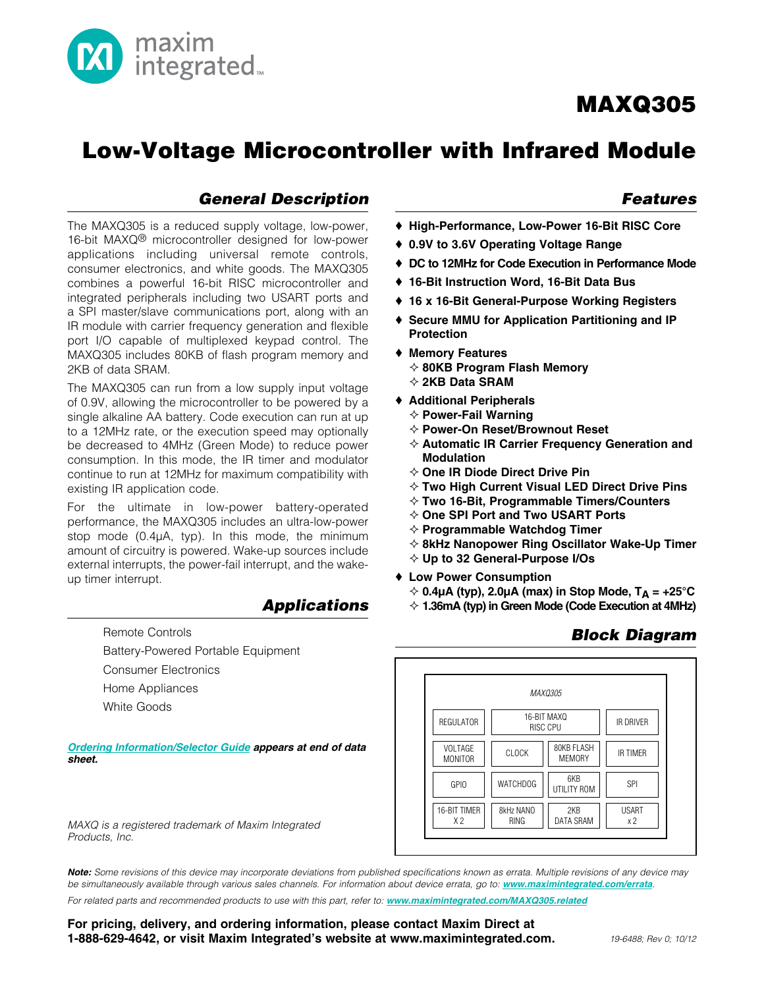# Low-Voltage Microcontroller with Infrared Module

### *General Description*

The MAXQ305 is a reduced supply voltage, low-power, 16-bit MAXQ<sup>®</sup> microcontroller designed for low-power applications including universal remote controls, consumer electronics, and white goods. The MAXQ305 combines a powerful 16-bit RISC microcontroller and integrated peripherals including two USART ports and a SPI master/slave communications port, along with an IR module with carrier frequency generation and flexible port I/O capable of multiplexed keypad control. The MAXQ305 includes 80KB of flash program memory and 2KB of data SRAM.

 $\sum_{\text{integrated}_n}$ 

The MAXQ305 can run from a low supply input voltage of 0.9V, allowing the microcontroller to be powered by a single alkaline AA battery. Code execution can run at up to a 12MHz rate, or the execution speed may optionally be decreased to 4MHz (Green Mode) to reduce power consumption. In this mode, the IR timer and modulator continue to run at 12MHz for maximum compatibility with existing IR application code.

For the ultimate in low-power battery-operated performance, the MAXQ305 includes an ultra-low-power stop mode  $(0.4\mu A, \text{ typ})$ . In this mode, the minimum amount of circuitry is powered. Wake-up sources include external interrupts, the power-fail interrupt, and the wakeup timer interrupt.

#### *Applications*

Remote Controls

Battery-Powered Portable Equipment Consumer Electronics Home Appliances White Goods

*[Ordering Information/Selector Guide](#page-27-0) appears at end of data sheet.*

*MAXQ is a registered trademark of Maxim Integrated Products, Inc.*

*Note: Some revisions of this device may incorporate deviations from published specifications known as errata. Multiple revisions of any device may be simultaneously available through various sales channels. For information about device errata, go to: www.maximintegrated.com/errata.*

For related parts and recommended products to use with this part, refer to: **www.maximintegrated.com/MAXQ305.related** 

For pricing, delivery, and ordering information, please contact Maxim Direct at 1-888-629-4642, or visit Maxim Integrated's website at www.maximintegrated.com.

### *Features*

- S High-Performance, Low-Power 16-Bit RISC Core
- ♦ 0.9V to 3.6V Operating Voltage Range
- ♦ DC to 12MHz for Code Execution in Performance Mode
- ◆ 16-Bit Instruction Word, 16-Bit Data Bus
- ♦ 16 x 16-Bit General-Purpose Working Registers
- ♦ Secure MMU for Application Partitioning and IP Protection
- ◆ Memory Features
	- $\diamond$  80KB Program Flash Memory
	- $\diamond$  2KB Data SRAM
- ◆ Additional Peripherals
	- $\diamond$  Power-Fail Warning
	- $\diamond$  Power-On Reset/Brownout Reset
	- $\diamond$  Automatic IR Carrier Frequency Generation and Modulation
	- $\diamond$  One IR Diode Direct Drive Pin
	- $\diamond$  Two High Current Visual LED Direct Drive Pins
	- $\diamond$  Two 16-Bit, Programmable Timers/Counters
	- $\diamond$  One SPI Port and Two USART Ports
	- $\diamond$  Programmable Watchdog Timer
	- $\diamond$  8kHz Nanopower Ring Oscillator Wake-Up Timer
	- $\diamond$  Up to 32 General-Purpose I/Os
- ◆ Low Power Consumption
	- $\div$  0.4µA (typ), 2.0µA (max) in Stop Mode, T<sub>A</sub> = +25°C
	- $\Diamond$  1.36mA (typ) in Green Mode (Code Execution at 4MHz)

### *Block Diagram*

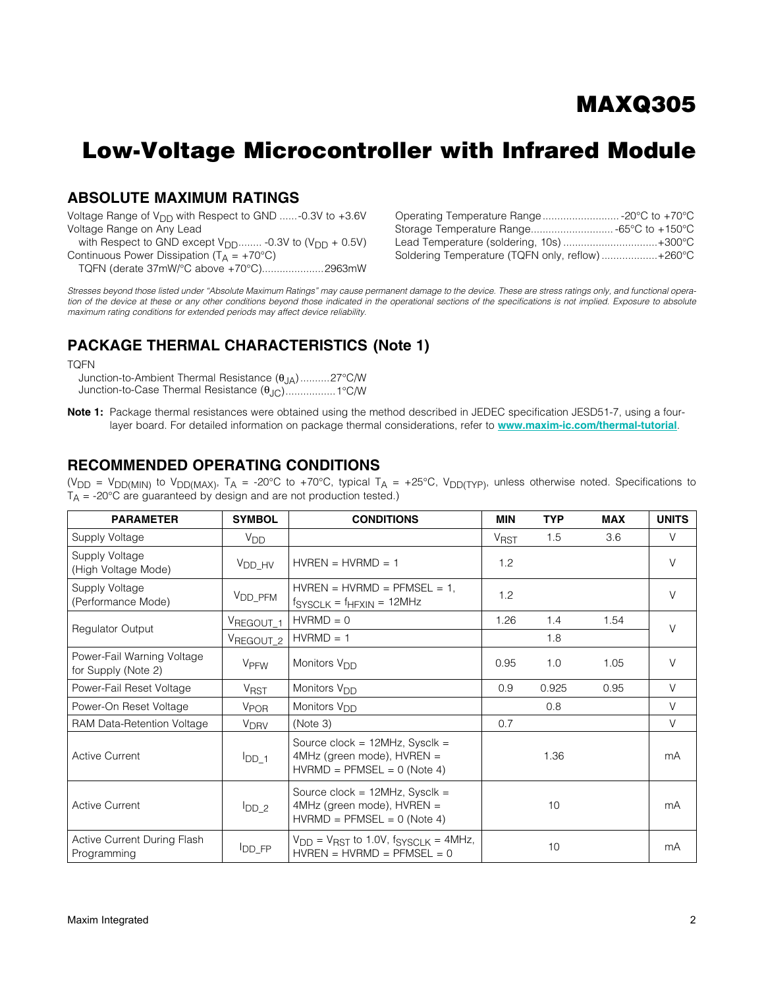# Low-Voltage Microcontroller with Infrared Module

### ABSOLUTE MAXIMUM RATINGS

Voltage Range of  $V_{DD}$  with Respect to GND ......-0.3V to +3.6V Voltage Range on Any Lead

with Respect to GND except  $V_{DD}$ ........ -0.3V to  $(V_{DD} + 0.5V)$ Continuous Power Dissipation ( $T_A = +70^{\circ}C$ ) TQFN (derate 37mW/°C above +70°C).....................2963mW

| Lead Temperature (soldering, 10s)  +300°C       |  |
|-------------------------------------------------|--|
| Soldering Temperature (TQFN only, reflow)+260°C |  |

*Stresses beyond those listed under "Absolute Maximum Ratings" may cause permanent damage to the device. These are stress ratings only, and functional opera*tion of the device at these or any other conditions beyond those indicated in the operational sections of the specifications is not implied. Exposure to absolute *maximum rating conditions for extended periods may affect device reliability.*

### PACKAGE THERMAL CHARACTERISTICS (Note 1)

TQFN

Junction-to-Ambient Thermal Resistance  $(\theta_{JA})$ ..........27°C/W Junction-to-Case Thermal Resistance  $(\theta_{\text{JC}})$ ..................1°C/W

Note 1: Package thermal resistances were obtained using the method described in JEDEC specification JESD51-7, using a fourlayer board. For detailed information on package thermal considerations, refer to www.maxim-ic.com/thermal-tutorial.

### <span id="page-1-0"></span>RECOMMENDED OPERATING CONDITIONS

(V<sub>DD</sub> = V<sub>DD(MIN)</sub> to V<sub>DD(MAX)</sub>, T<sub>A</sub> = -20°C to +70°C, typical T<sub>A</sub> = +25°C, V<sub>DD(TYP)</sub>, unless otherwise noted. Specifications to  $T_A$  = -20°C are guaranteed by design and are not production tested.)

| <b>PARAMETER</b>                                  | <b>SYMBOL</b>          | <b>CONDITIONS</b>                                                                                       | <b>MIN</b>             | <b>TYP</b> | <b>MAX</b> | <b>UNITS</b> |
|---------------------------------------------------|------------------------|---------------------------------------------------------------------------------------------------------|------------------------|------------|------------|--------------|
| Supply Voltage                                    | <b>V<sub>DD</sub></b>  |                                                                                                         | <b>V<sub>RST</sub></b> | 1.5        | 3.6        | $\vee$       |
| Supply Voltage<br>(High Voltage Mode)             | V <sub>DD_HV</sub>     | $HVREN = HVRMD = 1$                                                                                     | 1.2                    |            |            | $\vee$       |
| Supply Voltage<br>(Performance Mode)              | V <sub>DD_PFM</sub>    | $HVREN = HVRMD = PFMSEL = 1$ .<br>$fSYSCLK = fHFXIN = 12MHz$                                            | 1.2                    |            |            | $\vee$       |
|                                                   | VREGOUT_1              | $HVRMD = 0$                                                                                             | 1.26                   | 1.4        | 1.54       | $\vee$       |
| <b>Regulator Output</b>                           | VREGOUT_2              | $HVRMD = 1$                                                                                             |                        | 1.8        |            |              |
| Power-Fail Warning Voltage<br>for Supply (Note 2) | V <sub>PFW</sub>       | Monitors V <sub>DD</sub>                                                                                | 0.95                   | 1.0        | 1.05       | $\vee$       |
| Power-Fail Reset Voltage                          | <b>V<sub>RST</sub></b> | Monitors V <sub>DD</sub>                                                                                | 0.9                    | 0.925      | 0.95       | $\vee$       |
| Power-On Reset Voltage                            | <b>V<sub>POR</sub></b> | Monitors V <sub>DD</sub>                                                                                |                        | 0.8        |            | $\vee$       |
| RAM Data-Retention Voltage                        | <b>V<sub>DRV</sub></b> | (Note 3)                                                                                                | 0.7                    |            |            | $\vee$       |
| <b>Active Current</b>                             | $I_{DD\_1}$            | Source clock = $12MHz$ , Sysclk =<br>4MHz (green mode), HVREN =<br>$HVRMD = PFMSEL = 0$ (Note 4)        | 1.36                   |            |            | mA           |
| <b>Active Current</b>                             | $I_{DD_2}$             | Source clock = $12MHz$ , Sysclk =<br>4MHz (green mode), HVREN =<br>$HVRMD = PFMSEL = 0$ (Note 4)        | 10                     |            | mA         |              |
| Active Current During Flash<br>Programming        | $I_{DD\_FP}$           | $V_{\text{DD}}$ = $V_{\text{RST}}$ to 1.0V, $f_{\text{SYSCLK}}$ = 4MHz,<br>$HVREN = HVRMD = PFMSEL = 0$ |                        | 10         |            | mA           |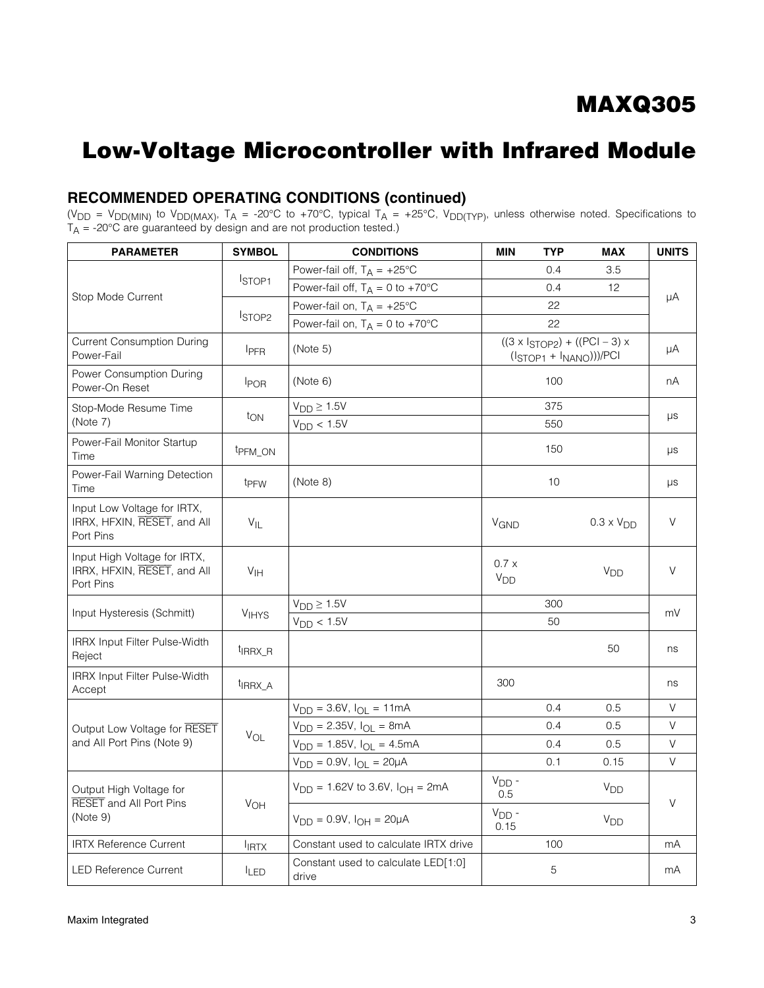### RECOMMENDED OPERATING CONDITIONS (continued)

(V<sub>DD</sub> = V<sub>DD(MIN)</sub> to V<sub>DD(MAX)</sub>, T<sub>A</sub> = -20°C to +70°C, typical T<sub>A</sub> = +25°C, V<sub>DD(TYP)</sub>, unless otherwise noted. Specifications to  $T_\mathsf{A}$  = -20°C are guaranteed by design and are not production tested.)

| <b>PARAMETER</b>                                                         | <b>SYMBOL</b>       | <b>CONDITIONS</b>                            | <b>MIN</b>              | <b>TYP</b>               | <b>MAX</b>                                  | <b>UNITS</b> |  |
|--------------------------------------------------------------------------|---------------------|----------------------------------------------|-------------------------|--------------------------|---------------------------------------------|--------------|--|
|                                                                          |                     | Power-fail off, $T_A = +25^{\circ}C$         |                         | 0.4                      | 3.5                                         |              |  |
| Stop Mode Current                                                        | STOP <sub>1</sub>   | Power-fail off, $T_A = 0$ to +70°C           |                         | 0.4                      | 12                                          | μA           |  |
|                                                                          |                     | Power-fail on, $T_A = +25^{\circ}C$          |                         | 22                       |                                             |              |  |
|                                                                          | STOP <sub>2</sub>   | Power-fail on, $T_A = 0$ to +70°C            |                         | 22                       |                                             |              |  |
| <b>Current Consumption During</b><br>Power-Fail                          | <b>IPFR</b>         | (Note 5)                                     |                         | $(ISTOP1 + INANO)))/PCI$ | $((3 \times 1_{STOP2}) + ((PCI – 3) \times$ | μA           |  |
| Power Consumption During<br>Power-On Reset                               | <b>IPOR</b>         | (Note 6)                                     |                         | 100                      |                                             | nА           |  |
| Stop-Mode Resume Time                                                    |                     | $V_{DD} \ge 1.5V$                            |                         | 375                      |                                             |              |  |
| (Note 7)                                                                 | $t_{ON}$            | $V_{DD}$ < 1.5V                              |                         | 550                      |                                             | μs           |  |
| Power-Fail Monitor Startup<br>Time                                       | t <sub>PFM_ON</sub> |                                              |                         | 150                      |                                             | μs           |  |
| Power-Fail Warning Detection<br>Time                                     | t <sub>PFW</sub>    | (Note 8)                                     |                         | 10                       |                                             | μs           |  |
| Input Low Voltage for IRTX,<br>IRRX, HFXIN, RESET, and All<br>Port Pins  | $V_{IL}$            |                                              | <b>V<sub>GND</sub></b>  |                          | $0.3 \times V_{DD}$                         | $\vee$       |  |
| Input High Voltage for IRTX,<br>IRRX, HFXIN, RESET, and All<br>Port Pins | V <sub>IH</sub>     |                                              | 0.7x<br>V <sub>DD</sub> |                          | V <sub>DD</sub>                             | $\vee$       |  |
|                                                                          |                     | $V_{DD} \ge 1.5V$                            |                         | 300                      |                                             | mV           |  |
| Input Hysteresis (Schmitt)                                               | <b>VIHYS</b>        | $V_{DD}$ < 1.5V                              |                         | 50                       |                                             |              |  |
| IRRX Input Filter Pulse-Width<br>Reject                                  | <sup>t</sup> IRRX_R |                                              |                         |                          | 50                                          | ns           |  |
| IRRX Input Filter Pulse-Width<br>Accept                                  | <sup>t</sup> IRRX A |                                              | 300                     |                          |                                             | ns           |  |
|                                                                          |                     | $V_{DD} = 3.6V, I_{OL} = 11mA$               |                         | 0.4                      | 0.5                                         | V            |  |
| Output Low Voltage for RESET                                             | $V_{OL}$            | $V_{DD} = 2.35V, I_{OL} = 8mA$               |                         | 0.4                      | 0.5                                         | $\vee$       |  |
| and All Port Pins (Note 9)                                               |                     | $V_{DD} = 1.85V, I_{OL} = 4.5mA$             |                         | 0.4                      | 0.5                                         | $\vee$       |  |
|                                                                          |                     | $V_{DD} = 0.9V$ , $I_{OL} = 20\mu A$         |                         | 0.1                      | 0.15                                        | V            |  |
| Output High Voltage for<br><b>RESET</b> and All Port Pins                |                     | $V_{DD} = 1.62V$ to 3.6V, $I_{OH} = 2mA$     | $VDD$ -<br>0.5          |                          | V <sub>DD</sub>                             | V            |  |
| (Note 9)                                                                 | VOH                 | $V_{DD} = 0.9V$ , $I_{OH} = 20\mu A$         | $VDD$ -<br>0.15         |                          | V <sub>DD</sub>                             |              |  |
| <b>IRTX Reference Current</b>                                            | <b>IRTX</b>         | Constant used to calculate IRTX drive        |                         | 100                      |                                             | mA           |  |
| <b>LED Reference Current</b>                                             | $I_{LED}$           | Constant used to calculate LED[1:0]<br>drive |                         | 5                        |                                             | mA           |  |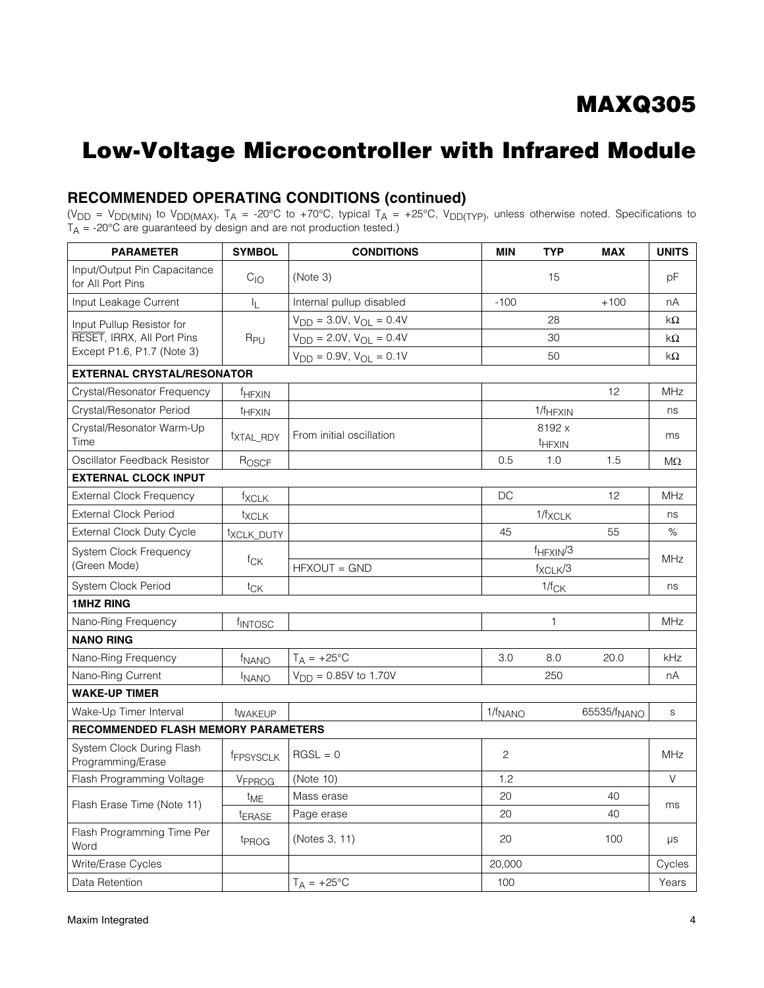### RECOMMENDED OPERATING CONDITIONS (continued)

(V<sub>DD</sub> = V<sub>DD(MIN)</sub> to V<sub>DD(MAX)</sub>, T<sub>A</sub> = -20°C to +70°C, typical T<sub>A</sub> = +25°C, V<sub>DD(TYP)</sub>, unless otherwise noted. Specifications to  $T_\mathsf{A}$  = -20°C are guaranteed by design and are not production tested.)

| <b>PARAMETER</b>                                  | <b>SYMBOL</b>         | <b>CONDITIONS</b>                            | <b>MIN</b>   | <b>TYP</b>                   | <b>MAX</b>              | <b>UNITS</b> |
|---------------------------------------------------|-----------------------|----------------------------------------------|--------------|------------------------------|-------------------------|--------------|
| Input/Output Pin Capacitance<br>for All Port Pins | $C_{10}$              | (Note 3)                                     |              | 15                           |                         | рF           |
| Input Leakage Current                             | I <sub>L</sub>        | Internal pullup disabled                     | $-100$       |                              | $+100$                  | nA           |
| Input Pullup Resistor for                         |                       | $V_{\text{DD}} = 3.0V, V_{\text{OL}} = 0.4V$ |              | 28                           |                         | $k\Omega$    |
| RESET, IRRX, All Port Pins                        | R <sub>PU</sub>       | $V_{DD} = 2.0V, V_{OL} = 0.4V$               |              | 30                           |                         | $k\Omega$    |
| Except P1.6, P1.7 (Note 3)                        |                       | $V_{DD} = 0.9V$ , $V_{OL} = 0.1V$            |              | 50                           |                         | $k\Omega$    |
| <b>EXTERNAL CRYSTAL/RESONATOR</b>                 |                       |                                              |              |                              |                         |              |
| Crystal/Resonator Frequency                       | f <sub>HFXIN</sub>    |                                              |              |                              | 12                      | MHz          |
| Crystal/Resonator Period                          | t <sub>HFXIN</sub>    |                                              |              | $1/f_{HFXIN}$                |                         | ns           |
| Crystal/Resonator Warm-Up<br>Time                 | <sup>t</sup> XTAL RDY | From initial oscillation                     |              | 8192 x<br><sup>t</sup> HFXIN |                         | ms           |
| Oscillator Feedback Resistor                      | ROSCF                 |                                              | 0.5          | 1.0                          | 1.5                     | $M\Omega$    |
| <b>EXTERNAL CLOCK INPUT</b>                       |                       |                                              |              |                              |                         |              |
| <b>External Clock Frequency</b>                   | fxclk                 |                                              | DC           |                              | 12                      | MHz          |
| <b>External Clock Period</b>                      | <sup>t</sup> XCLK     |                                              |              | $1/f_{XCLK}$                 |                         | ns           |
| External Clock Duty Cycle                         | txcLK_DUTY            |                                              | 45           |                              | 55                      | $\%$         |
| System Clock Frequency                            | tck                   |                                              |              | $f_{HFXIN}/3$                |                         | MHz          |
| (Green Mode)                                      |                       | HFXOUT = GND                                 |              | $f_{XCLK}/3$                 |                         |              |
| <b>System Clock Period</b>                        | $t_{CK}$              |                                              |              | $1/f_{CK}$                   |                         | ns           |
| <b>1MHZ RING</b>                                  |                       |                                              |              |                              |                         |              |
| Nano-Ring Frequency                               | fINTOSC               |                                              |              | 1                            |                         | MHz          |
| <b>NANO RING</b>                                  |                       |                                              |              |                              |                         |              |
| Nano-Ring Frequency                               | f <sub>NANO</sub>     | $T_A = +25$ °C                               | 3.0          | 8.0                          | 20.0                    | kHz          |
| Nano-Ring Current                                 | <b>INANO</b>          | $V_{\text{DD}} = 0.85V$ to 1.70V             |              | 250                          |                         | nA           |
| <b>WAKE-UP TIMER</b>                              |                       |                                              |              |                              |                         |              |
| Wake-Up Timer Interval                            | <sup>t</sup> WAKEUP   |                                              | $1/f_{NANO}$ |                              | 65535/f <sub>NANO</sub> | S            |
| RECOMMENDED FLASH MEMORY PARAMETERS               |                       |                                              |              |                              |                         |              |
| System Clock During Flash<br>Programming/Erase    | <b>FEPSYSCLK</b>      | $RGSL = 0$                                   | 2            |                              |                         | <b>MHz</b>   |
| Flash Programming Voltage                         | V <sub>FPROG</sub>    | (Note 10)                                    | 1.2          |                              |                         | $\vee$       |
| Flash Erase Time (Note 11)                        | t <sub>ME</sub>       | Mass erase                                   | 20           |                              | 40                      | ms           |
|                                                   | tERASE                | Page erase                                   | 20           |                              | 40                      |              |
| Flash Programming Time Per<br>Word                | t <sub>PROG</sub>     | (Notes 3, 11)                                | 20           |                              | 100                     | μs           |
| Write/Erase Cycles                                |                       |                                              | 20,000       |                              |                         | Cycles       |
| Data Retention                                    |                       | $T_A = +25$ °C                               | 100          |                              |                         | Years        |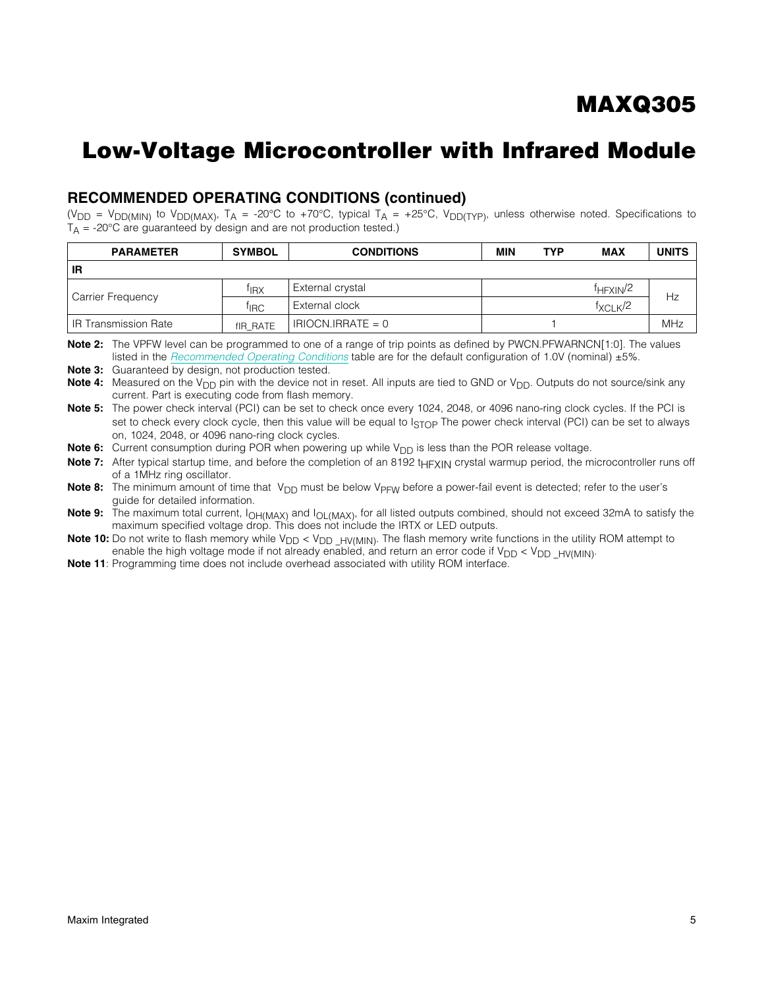### RECOMMENDED OPERATING CONDITIONS (continued)

(V<sub>DD</sub> = V<sub>DD(MIN)</sub> to V<sub>DD(MAX)</sub>, T<sub>A</sub> = -20°C to +70°C, typical T<sub>A</sub> = +25°C, V<sub>DD(TYP)</sub>, unless otherwise noted. Specifications to  $T_A$  = -20°C are guaranteed by design and are not production tested.)

| <b>PARAMETER</b>       | <b>SYMBOL</b>    | <b>CONDITIONS</b>   | <b>MIN</b> | <b>TYP</b> | <b>MAX</b>                       | <b>UNITS</b> |  |
|------------------------|------------------|---------------------|------------|------------|----------------------------------|--------------|--|
| IR                     |                  |                     |            |            |                                  |              |  |
| Carrier Frequency      | <sup>†</sup> IRX | External crystal    |            |            | <sup>f</sup> HFXIN <sup>/2</sup> | Hz           |  |
|                        | <sup>†</sup> IRC | External clock      |            |            | $f_{\text{XCI K}}/2$             |              |  |
| l IR Transmission Rate | fIR RATE         | $IRIOCN.IRRATE = 0$ |            |            |                                  | MHz          |  |

Note 2: The VPFW level can be programmed to one of a range of trip points as defined by PWCN.PFWARNCN[1:0]. The values listed in the *[Recommended Operating Conditions](#page-1-0)* table are for the default configuration of 1.0V (nominal) ±5%.

Note 3: Guaranteed by design, not production tested.

Note 4: Measured on the V<sub>DD</sub> pin with the device not in reset. All inputs are tied to GND or V<sub>DD</sub>. Outputs do not source/sink any current. Part is executing code from flash memory.

Note 5: The power check interval (PCI) can be set to check once every 1024, 2048, or 4096 nano-ring clock cycles. If the PCI is set to check every clock cycle, then this value will be equal to  $I_{STOP}$  The power check interval (PCI) can be set to always on, 1024, 2048, or 4096 nano-ring clock cycles.

**Note 6:** Current consumption during POR when powering up while  $V_{DD}$  is less than the POR release voltage.

Note 7: After typical startup time, and before the completion of an 8192 t<sub>HFXIN</sub> crystal warmup period, the microcontroller runs off of a 1MHz ring oscillator.

Note 8: The minimum amount of time that  $V_{DD}$  must be below  $V_{PFW}$  before a power-fail event is detected; refer to the user's guide for detailed information.

Note 9: The maximum total current,  $I_{OH(MAX)}$  and  $I_{OL(MAX)}$ , for all listed outputs combined, should not exceed 32mA to satisfy the maximum specified voltage drop. This does not include the IRTX or LED outputs.

**Note 10:** Do not write to flash memory while  $V_{DD} < V_{DD}$   $HV(M|N)$ . The flash memory write functions in the utility ROM attempt to enable the high voltage mode if not already enabled, and return an error code if  $V_{DD} < V_{DD}$   $_{HVMIN}$ .

Note 11: Programming time does not include overhead associated with utility ROM interface.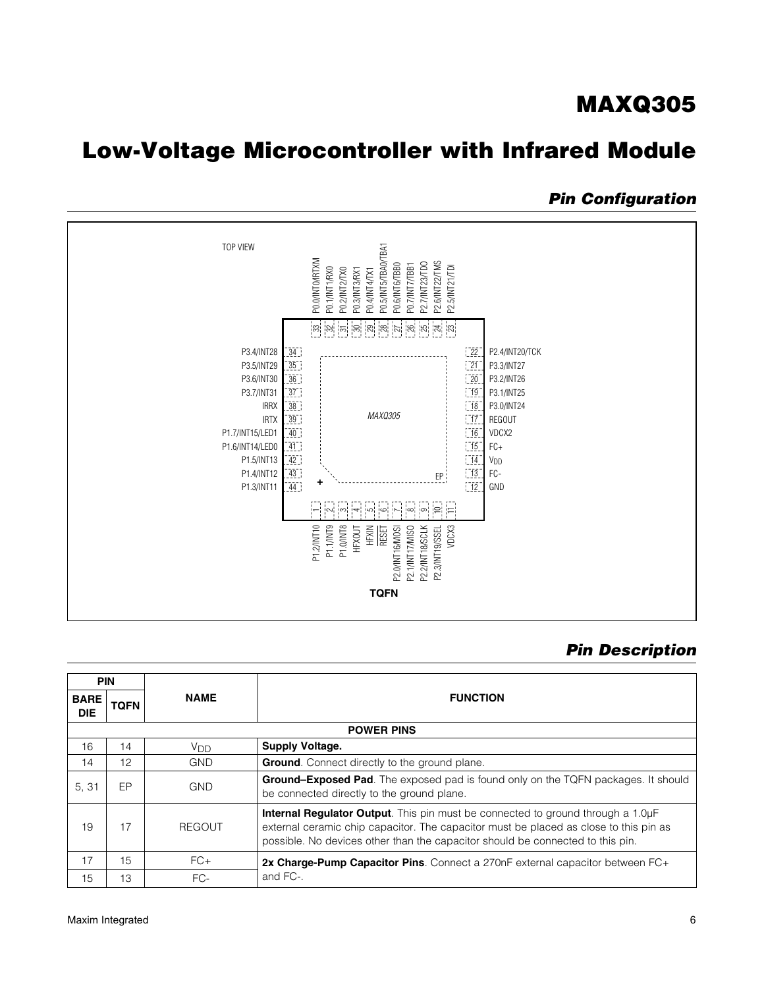# Low-Voltage Microcontroller with Infrared Module

### *Pin Configuration*



### *Pin Description*

| <b>PIN</b>                |             |               |                                                                                                                                                                                                                                                            |
|---------------------------|-------------|---------------|------------------------------------------------------------------------------------------------------------------------------------------------------------------------------------------------------------------------------------------------------------|
| <b>BARE</b><br><b>DIE</b> | <b>TQFN</b> | <b>NAME</b>   | <b>FUNCTION</b>                                                                                                                                                                                                                                            |
|                           |             |               | <b>POWER PINS</b>                                                                                                                                                                                                                                          |
| 16                        | 14          | Vnn.          | Supply Voltage.                                                                                                                                                                                                                                            |
| 14                        | 12          | <b>GND</b>    | <b>Ground.</b> Connect directly to the ground plane.                                                                                                                                                                                                       |
| 5, 31                     | EP          | <b>GND</b>    | <b>Ground-Exposed Pad</b> . The exposed pad is found only on the TQFN packages. It should<br>be connected directly to the ground plane.                                                                                                                    |
| 19                        | 17          | <b>REGOUT</b> | Internal Regulator Output. This pin must be connected to ground through a 1.0µF<br>external ceramic chip capacitor. The capacitor must be placed as close to this pin as<br>possible. No devices other than the capacitor should be connected to this pin. |
| 17                        | 15          | $FC+$         | 2x Charge-Pump Capacitor Pins. Connect a 270nF external capacitor between FC+                                                                                                                                                                              |
| 15                        | 13          | $FC-$         | and FC-.                                                                                                                                                                                                                                                   |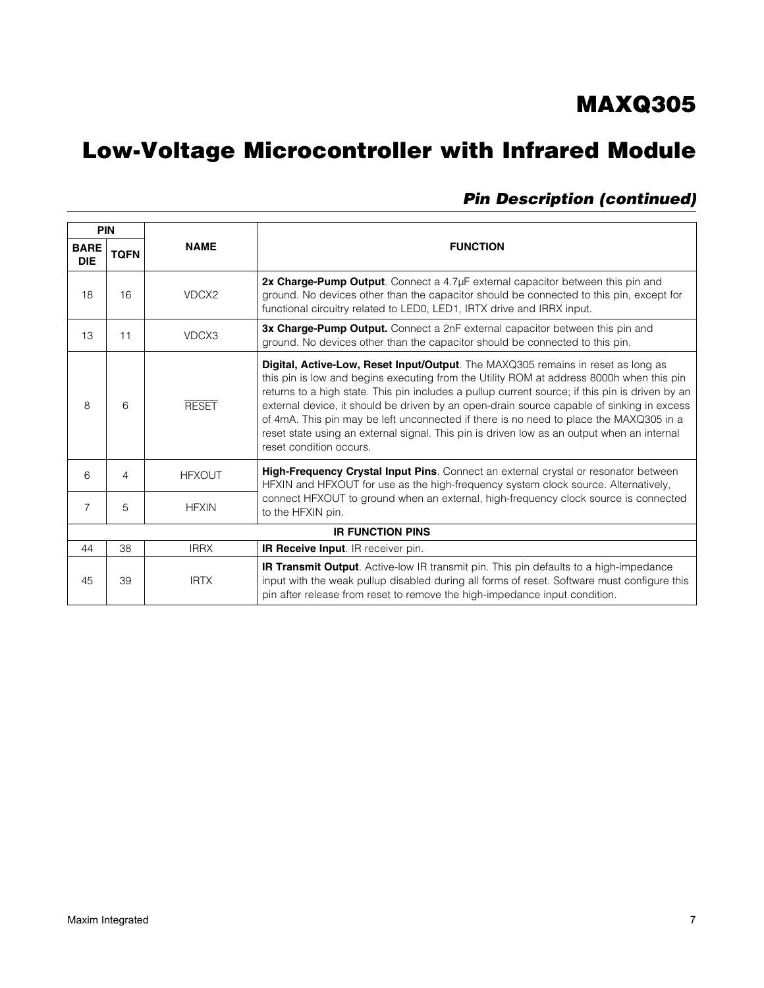# Low-Voltage Microcontroller with Infrared Module

|                           | <b>PIN</b>  |               |                                                                                                                                                                                                                                                                                                                                                                                                                                                                                                                                                                                                 |
|---------------------------|-------------|---------------|-------------------------------------------------------------------------------------------------------------------------------------------------------------------------------------------------------------------------------------------------------------------------------------------------------------------------------------------------------------------------------------------------------------------------------------------------------------------------------------------------------------------------------------------------------------------------------------------------|
| <b>BARE</b><br><b>DIE</b> | <b>TQFN</b> | <b>NAME</b>   | <b>FUNCTION</b>                                                                                                                                                                                                                                                                                                                                                                                                                                                                                                                                                                                 |
| 18                        | 16          | VDCX2         | 2x Charge-Pump Output. Connect a 4.7µF external capacitor between this pin and<br>ground. No devices other than the capacitor should be connected to this pin, except for<br>functional circuitry related to LED0, LED1, IRTX drive and IRRX input.                                                                                                                                                                                                                                                                                                                                             |
| 13                        | 11          | VDCX3         | 3x Charge-Pump Output. Connect a 2nF external capacitor between this pin and<br>ground. No devices other than the capacitor should be connected to this pin.                                                                                                                                                                                                                                                                                                                                                                                                                                    |
| 8                         | 6           | <b>RESET</b>  | Digital, Active-Low, Reset Input/Output. The MAXQ305 remains in reset as long as<br>this pin is low and begins executing from the Utility ROM at address 8000h when this pin<br>returns to a high state. This pin includes a pullup current source; if this pin is driven by an<br>external device, it should be driven by an open-drain source capable of sinking in excess<br>of 4mA. This pin may be left unconnected if there is no need to place the MAXQ305 in a<br>reset state using an external signal. This pin is driven low as an output when an internal<br>reset condition occurs. |
| 6                         | 4           | <b>HFXOUT</b> | High-Frequency Crystal Input Pins. Connect an external crystal or resonator between<br>HFXIN and HFXOUT for use as the high-frequency system clock source. Alternatively,                                                                                                                                                                                                                                                                                                                                                                                                                       |
| 7                         | 5           | <b>HFXIN</b>  | connect HFXOUT to ground when an external, high-frequency clock source is connected<br>to the HFXIN pin.                                                                                                                                                                                                                                                                                                                                                                                                                                                                                        |
|                           |             |               | <b>IR FUNCTION PINS</b>                                                                                                                                                                                                                                                                                                                                                                                                                                                                                                                                                                         |
| 44                        | 38          | <b>IRRX</b>   | IR Receive Input. IR receiver pin.                                                                                                                                                                                                                                                                                                                                                                                                                                                                                                                                                              |
| 45                        | 39          | <b>IRTX</b>   | <b>IR Transmit Output</b> . Active-low IR transmit pin. This pin defaults to a high-impedance<br>input with the weak pullup disabled during all forms of reset. Software must configure this<br>pin after release from reset to remove the high-impedance input condition.                                                                                                                                                                                                                                                                                                                      |

### *Pin Description (continued)*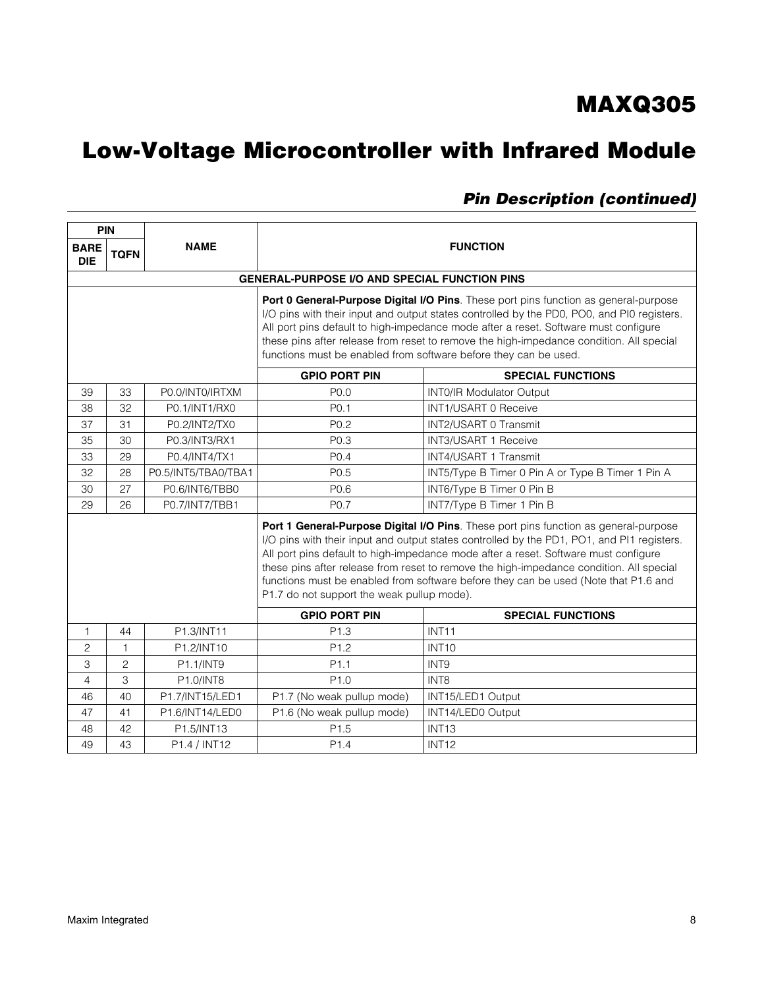# Low-Voltage Microcontroller with Infrared Module

| PIN                                                                                                                                                                                                                                                                                                                                                                                                                                      |                |                     |                                                      |                                                                                                                                                                                                                                                                                                                                                                                                                                                             |  |  |
|------------------------------------------------------------------------------------------------------------------------------------------------------------------------------------------------------------------------------------------------------------------------------------------------------------------------------------------------------------------------------------------------------------------------------------------|----------------|---------------------|------------------------------------------------------|-------------------------------------------------------------------------------------------------------------------------------------------------------------------------------------------------------------------------------------------------------------------------------------------------------------------------------------------------------------------------------------------------------------------------------------------------------------|--|--|
| <b>BARE</b><br><b>DIE</b>                                                                                                                                                                                                                                                                                                                                                                                                                | <b>TQFN</b>    | <b>NAME</b>         | <b>FUNCTION</b>                                      |                                                                                                                                                                                                                                                                                                                                                                                                                                                             |  |  |
|                                                                                                                                                                                                                                                                                                                                                                                                                                          |                |                     | <b>GENERAL-PURPOSE I/O AND SPECIAL FUNCTION PINS</b> |                                                                                                                                                                                                                                                                                                                                                                                                                                                             |  |  |
| Port 0 General-Purpose Digital I/O Pins. These port pins function as general-purpose<br>I/O pins with their input and output states controlled by the PD0, PO0, and PI0 registers.<br>All port pins default to high-impedance mode after a reset. Software must configure<br>these pins after release from reset to remove the high-impedance condition. All special<br>functions must be enabled from software before they can be used. |                |                     |                                                      |                                                                                                                                                                                                                                                                                                                                                                                                                                                             |  |  |
|                                                                                                                                                                                                                                                                                                                                                                                                                                          |                |                     | <b>GPIO PORT PIN</b>                                 | <b>SPECIAL FUNCTIONS</b>                                                                                                                                                                                                                                                                                                                                                                                                                                    |  |  |
| 39                                                                                                                                                                                                                                                                                                                                                                                                                                       | 33             | P0.0/INT0/IRTXM     | P <sub>0.0</sub>                                     | <b>INTO/IR Modulator Output</b>                                                                                                                                                                                                                                                                                                                                                                                                                             |  |  |
| 38                                                                                                                                                                                                                                                                                                                                                                                                                                       | 32             | P0.1/INT1/RX0       | P <sub>0.1</sub>                                     | <b>INT1/USART 0 Receive</b>                                                                                                                                                                                                                                                                                                                                                                                                                                 |  |  |
| 37                                                                                                                                                                                                                                                                                                                                                                                                                                       | 31             | P0.2/INT2/TX0       | P0.2                                                 | INT2/USART 0 Transmit                                                                                                                                                                                                                                                                                                                                                                                                                                       |  |  |
| 35                                                                                                                                                                                                                                                                                                                                                                                                                                       | 30             | P0.3/INT3/RX1       | P0.3                                                 | INT3/USART 1 Receive                                                                                                                                                                                                                                                                                                                                                                                                                                        |  |  |
| 33                                                                                                                                                                                                                                                                                                                                                                                                                                       | 29             | P0.4/INT4/TX1       | P <sub>0.4</sub>                                     | INT4/USART 1 Transmit                                                                                                                                                                                                                                                                                                                                                                                                                                       |  |  |
| 32                                                                                                                                                                                                                                                                                                                                                                                                                                       | 28             | P0.5/INT5/TBA0/TBA1 | P <sub>0.5</sub>                                     | INT5/Type B Timer 0 Pin A or Type B Timer 1 Pin A                                                                                                                                                                                                                                                                                                                                                                                                           |  |  |
| 30                                                                                                                                                                                                                                                                                                                                                                                                                                       | 27             | P0.6/INT6/TBB0      | P0.6                                                 | INT6/Type B Timer 0 Pin B                                                                                                                                                                                                                                                                                                                                                                                                                                   |  |  |
| 29                                                                                                                                                                                                                                                                                                                                                                                                                                       | 26             | P0.7/INT7/TBB1      | P0.7                                                 | INT7/Type B Timer 1 Pin B                                                                                                                                                                                                                                                                                                                                                                                                                                   |  |  |
|                                                                                                                                                                                                                                                                                                                                                                                                                                          |                |                     | P1.7 do not support the weak pullup mode).           | Port 1 General-Purpose Digital I/O Pins. These port pins function as general-purpose<br>I/O pins with their input and output states controlled by the PD1, PO1, and PI1 registers.<br>All port pins default to high-impedance mode after a reset. Software must configure<br>these pins after release from reset to remove the high-impedance condition. All special<br>functions must be enabled from software before they can be used (Note that P1.6 and |  |  |
|                                                                                                                                                                                                                                                                                                                                                                                                                                          |                |                     | <b>GPIO PORT PIN</b>                                 | <b>SPECIAL FUNCTIONS</b>                                                                                                                                                                                                                                                                                                                                                                                                                                    |  |  |
| $\mathbf{1}$                                                                                                                                                                                                                                                                                                                                                                                                                             | 44             | P1.3/INT11          | P <sub>1.3</sub>                                     | INT <sub>11</sub>                                                                                                                                                                                                                                                                                                                                                                                                                                           |  |  |
| 2                                                                                                                                                                                                                                                                                                                                                                                                                                        | $\mathbf 1$    | P1.2/INT10          | P <sub>1.2</sub>                                     | <b>INT10</b>                                                                                                                                                                                                                                                                                                                                                                                                                                                |  |  |
| 3                                                                                                                                                                                                                                                                                                                                                                                                                                        | $\overline{c}$ | P1.1/INT9           | P <sub>1.1</sub>                                     | INT9                                                                                                                                                                                                                                                                                                                                                                                                                                                        |  |  |
| $\overline{4}$                                                                                                                                                                                                                                                                                                                                                                                                                           | 3              | P1.0/INT8           | P1.0                                                 | INT8                                                                                                                                                                                                                                                                                                                                                                                                                                                        |  |  |
| 46                                                                                                                                                                                                                                                                                                                                                                                                                                       | 40             | P1.7/INT15/LED1     | P1.7 (No weak pullup mode)                           | INT15/LED1 Output                                                                                                                                                                                                                                                                                                                                                                                                                                           |  |  |
| 47                                                                                                                                                                                                                                                                                                                                                                                                                                       | 41             | P1.6/INT14/LED0     | P1.6 (No weak pullup mode)                           | INT14/LED0 Output                                                                                                                                                                                                                                                                                                                                                                                                                                           |  |  |
| 48                                                                                                                                                                                                                                                                                                                                                                                                                                       | 42             | P1.5/INT13          | P1.5                                                 | INT <sub>13</sub>                                                                                                                                                                                                                                                                                                                                                                                                                                           |  |  |
| 49                                                                                                                                                                                                                                                                                                                                                                                                                                       | 43             | P1.4 / INT12        | P <sub>1.4</sub>                                     | <b>INT12</b>                                                                                                                                                                                                                                                                                                                                                                                                                                                |  |  |

### *Pin Description (continued)*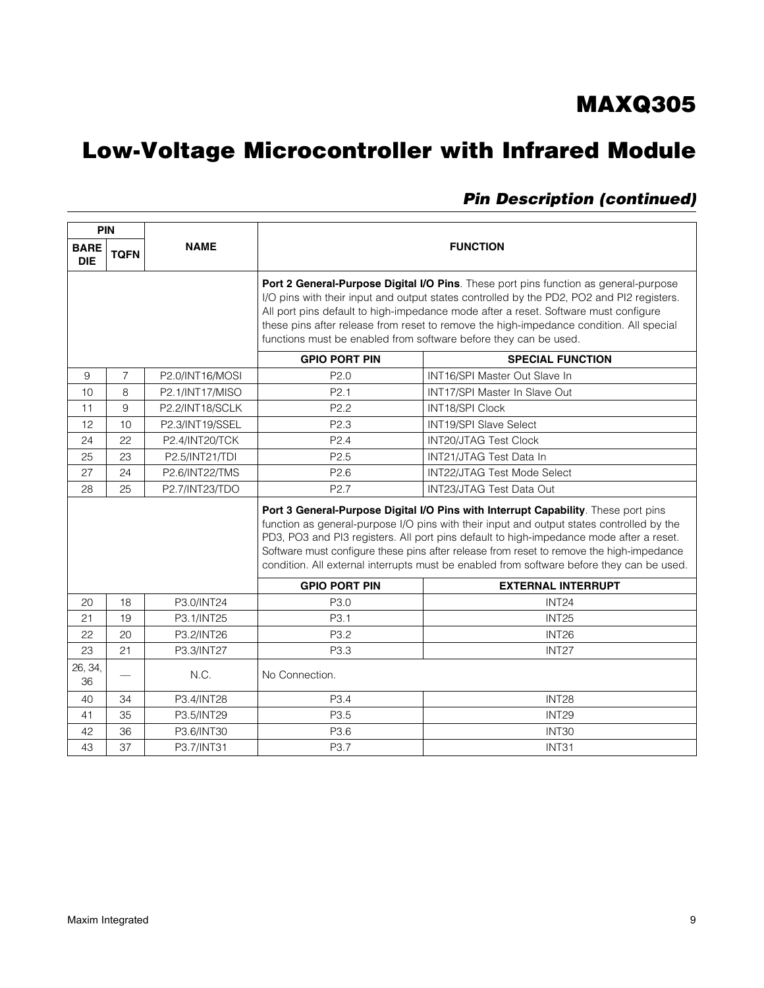# Low-Voltage Microcontroller with Infrared Module

| <b>PIN</b>                |                                                                                                                                                                                                                                                                                                                                                                                                                                                                     |                          |                                                                                                                                                                                                                                                                                                                                                                                                                                         |                                                |  |  |
|---------------------------|---------------------------------------------------------------------------------------------------------------------------------------------------------------------------------------------------------------------------------------------------------------------------------------------------------------------------------------------------------------------------------------------------------------------------------------------------------------------|--------------------------|-----------------------------------------------------------------------------------------------------------------------------------------------------------------------------------------------------------------------------------------------------------------------------------------------------------------------------------------------------------------------------------------------------------------------------------------|------------------------------------------------|--|--|
| <b>BARE</b><br><b>DIE</b> | <b>TQFN</b>                                                                                                                                                                                                                                                                                                                                                                                                                                                         | <b>NAME</b>              | <b>FUNCTION</b>                                                                                                                                                                                                                                                                                                                                                                                                                         |                                                |  |  |
|                           |                                                                                                                                                                                                                                                                                                                                                                                                                                                                     |                          | Port 2 General-Purpose Digital I/O Pins. These port pins function as general-purpose<br>I/O pins with their input and output states controlled by the PD2, PO2 and PI2 registers.<br>All port pins default to high-impedance mode after a reset. Software must configure<br>these pins after release from reset to remove the high-impedance condition. All special<br>functions must be enabled from software before they can be used. |                                                |  |  |
|                           |                                                                                                                                                                                                                                                                                                                                                                                                                                                                     |                          | <b>GPIO PORT PIN</b>                                                                                                                                                                                                                                                                                                                                                                                                                    | <b>SPECIAL FUNCTION</b>                        |  |  |
| 9                         | $\overline{7}$                                                                                                                                                                                                                                                                                                                                                                                                                                                      | P2.0/INT16/MOSI          | P <sub>2.0</sub>                                                                                                                                                                                                                                                                                                                                                                                                                        | <b>INT16/SPI Master Out Slave In</b>           |  |  |
| 10                        | 8                                                                                                                                                                                                                                                                                                                                                                                                                                                                   | P2.1/INT17/MISO          | P <sub>2.1</sub>                                                                                                                                                                                                                                                                                                                                                                                                                        | INT17/SPI Master In Slave Out                  |  |  |
| 11                        | 9                                                                                                                                                                                                                                                                                                                                                                                                                                                                   | P2.2/INT18/SCLK          | P <sub>2.2</sub>                                                                                                                                                                                                                                                                                                                                                                                                                        | INT18/SPI Clock                                |  |  |
| 12                        | 10                                                                                                                                                                                                                                                                                                                                                                                                                                                                  | P2.3/INT19/SSEL          | P <sub>2.3</sub>                                                                                                                                                                                                                                                                                                                                                                                                                        | INT19/SPI Slave Select                         |  |  |
| 24                        | 22                                                                                                                                                                                                                                                                                                                                                                                                                                                                  | P2.4/INT20/TCK           | P <sub>2.4</sub>                                                                                                                                                                                                                                                                                                                                                                                                                        | <b>INT20/JTAG Test Clock</b>                   |  |  |
| 25                        | 23                                                                                                                                                                                                                                                                                                                                                                                                                                                                  | P2.5/INT21/TDI           | P <sub>2.5</sub>                                                                                                                                                                                                                                                                                                                                                                                                                        | <b>INT21/JTAG Test Data In</b>                 |  |  |
| 27                        | 24                                                                                                                                                                                                                                                                                                                                                                                                                                                                  | P2.6/INT22/TMS           | P2.6                                                                                                                                                                                                                                                                                                                                                                                                                                    | <b>INT22/JTAG Test Mode Select</b>             |  |  |
| 28                        | 25                                                                                                                                                                                                                                                                                                                                                                                                                                                                  | P2.7/INT23/TDO           | P <sub>2.7</sub><br>INT23/JTAG Test Data Out                                                                                                                                                                                                                                                                                                                                                                                            |                                                |  |  |
|                           | Port 3 General-Purpose Digital I/O Pins with Interrupt Capability. These port pins<br>function as general-purpose I/O pins with their input and output states controlled by the<br>PD3, PO3 and PI3 registers. All port pins default to high-impedance mode after a reset.<br>Software must configure these pins after release from reset to remove the high-impedance<br>condition. All external interrupts must be enabled from software before they can be used. |                          |                                                                                                                                                                                                                                                                                                                                                                                                                                         |                                                |  |  |
|                           |                                                                                                                                                                                                                                                                                                                                                                                                                                                                     | P3.0/INT24               | <b>GPIO PORT PIN</b><br>P3.0                                                                                                                                                                                                                                                                                                                                                                                                            | <b>EXTERNAL INTERRUPT</b><br>INT <sub>24</sub> |  |  |
| 20<br>21                  | 18<br>19                                                                                                                                                                                                                                                                                                                                                                                                                                                            |                          | P <sub>3.1</sub>                                                                                                                                                                                                                                                                                                                                                                                                                        | <b>INT25</b>                                   |  |  |
| 22                        | 20                                                                                                                                                                                                                                                                                                                                                                                                                                                                  | P3.1/INT25<br>P3.2/INT26 | P3.2                                                                                                                                                                                                                                                                                                                                                                                                                                    | INT <sub>26</sub>                              |  |  |
|                           |                                                                                                                                                                                                                                                                                                                                                                                                                                                                     |                          |                                                                                                                                                                                                                                                                                                                                                                                                                                         |                                                |  |  |
| 23<br>26, 34,<br>36       | 21                                                                                                                                                                                                                                                                                                                                                                                                                                                                  | P3.3/INT27<br>N.C.       | P3.3<br>No Connection.                                                                                                                                                                                                                                                                                                                                                                                                                  | INT <sub>27</sub>                              |  |  |
| 40                        | 34                                                                                                                                                                                                                                                                                                                                                                                                                                                                  | P3.4/INT28               | P <sub>3.4</sub>                                                                                                                                                                                                                                                                                                                                                                                                                        | INT <sub>28</sub>                              |  |  |
| 41                        | 35                                                                                                                                                                                                                                                                                                                                                                                                                                                                  | P3.5/INT29               | P3.5                                                                                                                                                                                                                                                                                                                                                                                                                                    | INT29                                          |  |  |
| 42                        | 36                                                                                                                                                                                                                                                                                                                                                                                                                                                                  | P3.6/INT30               | P3.6                                                                                                                                                                                                                                                                                                                                                                                                                                    | INT30                                          |  |  |
| 43                        | 37                                                                                                                                                                                                                                                                                                                                                                                                                                                                  | P3.7/INT31               | P <sub>3.7</sub>                                                                                                                                                                                                                                                                                                                                                                                                                        | INT31                                          |  |  |

### *Pin Description (continued)*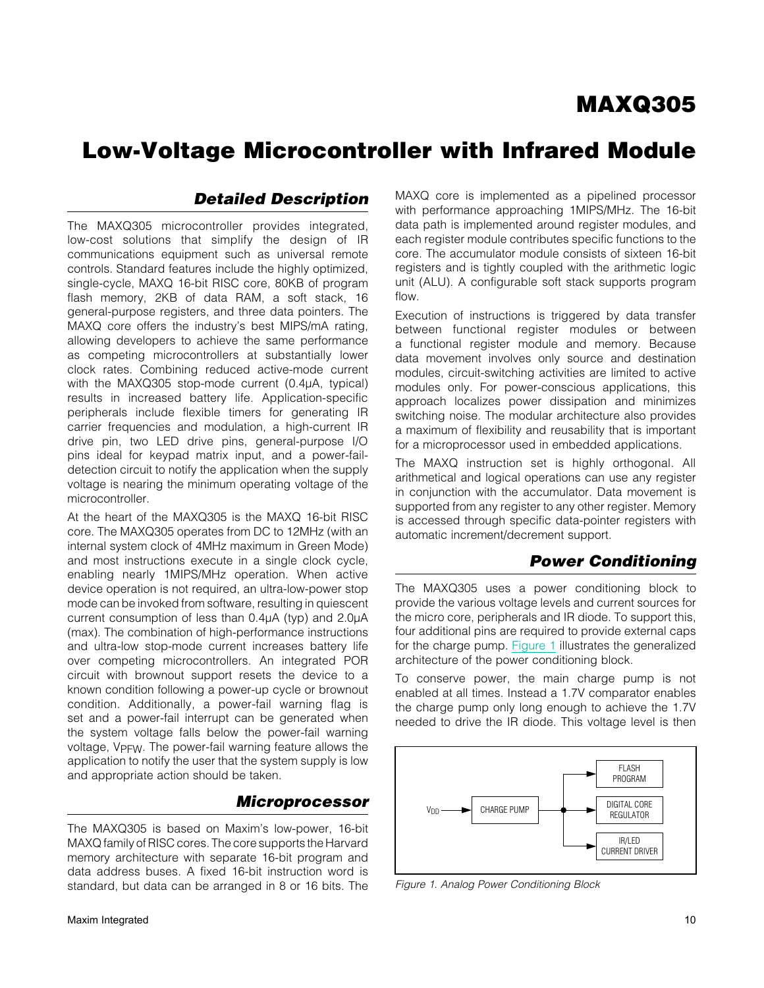### *Detailed Description*

The MAXQ305 microcontroller provides integrated, low-cost solutions that simplify the design of IR communications equipment such as universal remote controls. Standard features include the highly optimized, single-cycle, MAXQ 16-bit RISC core, 80KB of program flash memory, 2KB of data RAM, a soft stack, 16 general-purpose registers, and three data pointers. The MAXQ core offers the industry's best MIPS/mA rating, allowing developers to achieve the same performance as competing microcontrollers at substantially lower clock rates. Combining reduced active-mode current with the MAXQ305 stop-mode current  $(0.4\mu A,$  typical) results in increased battery life. Application-specific peripherals include flexible timers for generating IR carrier frequencies and modulation, a high-current IR drive pin, two LED drive pins, general-purpose I/O pins ideal for keypad matrix input, and a power-faildetection circuit to notify the application when the supply voltage is nearing the minimum operating voltage of the microcontroller.

At the heart of the MAXQ305 is the MAXQ 16-bit RISC core. The MAXQ305 operates from DC to 12MHz (with an internal system clock of 4MHz maximum in Green Mode) and most instructions execute in a single clock cycle, enabling nearly 1MIPS/MHz operation. When active device operation is not required, an ultra-low-power stop mode can be invoked from software, resulting in quiescent current consumption of less than  $0.4\mu A$  (typ) and  $2.0\mu A$ (max). The combination of high-performance instructions and ultra-low stop-mode current increases battery life over competing microcontrollers. An integrated POR circuit with brownout support resets the device to a known condition following a power-up cycle or brownout condition. Additionally, a power-fail warning flag is set and a power-fail interrupt can be generated when the system voltage falls below the power-fail warning voltage, V<sub>PFW</sub>. The power-fail warning feature allows the application to notify the user that the system supply is low and appropriate action should be taken.

### *Microprocessor*

The MAXQ305 is based on Maxim's low-power, 16-bit MAXQ family of RISC cores. The core supports the Harvard memory architecture with separate 16-bit program and data address buses. A fixed 16-bit instruction word is standard, but data can be arranged in 8 or 16 bits. The

MAXQ core is implemented as a pipelined processor with performance approaching 1MIPS/MHz. The 16-bit data path is implemented around register modules, and each register module contributes specific functions to the core. The accumulator module consists of sixteen 16-bit registers and is tightly coupled with the arithmetic logic unit (ALU). A configurable soft stack supports program flow.

Execution of instructions is triggered by data transfer between functional register modules or between a functional register module and memory. Because data movement involves only source and destination modules, circuit-switching activities are limited to active modules only. For power-conscious applications, this approach localizes power dissipation and minimizes switching noise. The modular architecture also provides a maximum of flexibility and reusability that is important for a microprocessor used in embedded applications.

The MAXQ instruction set is highly orthogonal. All arithmetical and logical operations can use any register in conjunction with the accumulator. Data movement is supported from any register to any other register. Memory is accessed through specific data-pointer registers with automatic increment/decrement support.

### *Power Conditioning*

The MAXQ305 uses a power conditioning block to provide the various voltage levels and current sources for the micro core, peripherals and IR diode. To support this, four additional pins are required to provide external caps for the charge pump. [Figure 1](#page-9-0) illustrates the generalized architecture of the power conditioning block.

To conserve power, the main charge pump is not enabled at all times. Instead a 1.7V comparator enables the charge pump only long enough to achieve the 1.7V needed to drive the IR diode. This voltage level is then

<span id="page-9-0"></span>

*Figure 1. Analog Power Conditioning Block*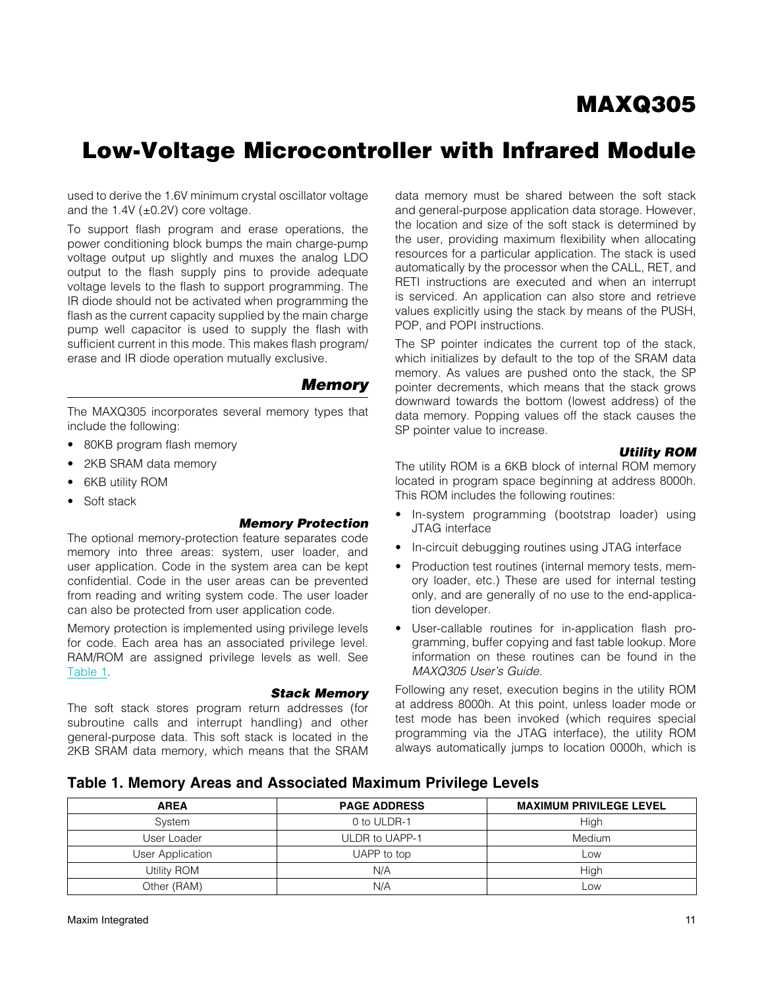# Low-Voltage Microcontroller with Infrared Module

used to derive the 1.6V minimum crystal oscillator voltage and the  $1.4V$  ( $\pm$ 0.2V) core voltage.

To support flash program and erase operations, the power conditioning block bumps the main charge-pump voltage output up slightly and muxes the analog LDO output to the flash supply pins to provide adequate voltage levels to the flash to support programming. The IR diode should not be activated when programming the flash as the current capacity supplied by the main charge pump well capacitor is used to supply the flash with sufficient current in this mode. This makes flash program/ erase and IR diode operation mutually exclusive.

#### *Memory*

The MAXQ305 incorporates several memory types that include the following:

- 80KB program flash memory
- 2KB SRAM data memory
- **6KB utility ROM**
- Soft stack

#### *Memory Protection*

The optional memory-protection feature separates code memory into three areas: system, user loader, and user application. Code in the system area can be kept confidential. Code in the user areas can be prevented from reading and writing system code. The user loader can also be protected from user application code.

Memory protection is implemented using privilege levels for code. Each area has an associated privilege level. RAM/ROM are assigned privilege levels as well. See [Table 1.](#page-10-0)

#### *Stack Memory*

The soft stack stores program return addresses (for subroutine calls and interrupt handling) and other general-purpose data. This soft stack is located in the 2KB SRAM data memory, which means that the SRAM data memory must be shared between the soft stack and general-purpose application data storage. However, the location and size of the soft stack is determined by the user, providing maximum flexibility when allocating resources for a particular application. The stack is used automatically by the processor when the CALL, RET, and RETI instructions are executed and when an interrupt is serviced. An application can also store and retrieve values explicitly using the stack by means of the PUSH, POP, and POPI instructions.

The SP pointer indicates the current top of the stack, which initializes by default to the top of the SRAM data memory. As values are pushed onto the stack, the SP pointer decrements, which means that the stack grows downward towards the bottom (lowest address) of the data memory. Popping values off the stack causes the SP pointer value to increase.

#### *Utility ROM*

The utility ROM is a 6KB block of internal ROM memory located in program space beginning at address 8000h. This ROM includes the following routines:

- In-system programming (bootstrap loader) using JTAG interface
- In-circuit debugging routines using JTAG interface
- Production test routines (internal memory tests, memory loader, etc.) These are used for internal testing only, and are generally of no use to the end-application developer.
- User-callable routines for in-application flash programming, buffer copying and fast table lookup. More information on these routines can be found in the *MAXQ305 User's Guide*.

Following any reset, execution begins in the utility ROM at address 8000h. At this point, unless loader mode or test mode has been invoked (which requires special programming via the JTAG interface), the utility ROM always automatically jumps to location 0000h, which is

#### <span id="page-10-0"></span>Table 1. Memory Areas and Associated Maximum Privilege Levels

| <b>AREA</b>      | <b>PAGE ADDRESS</b> | <b>MAXIMUM PRIVILEGE LEVEL</b> |
|------------------|---------------------|--------------------------------|
| System           | 0 to ULDR-1         | High                           |
| User Loader      | ULDR to UAPP-1      | Medium                         |
| User Application | UAPP to top         | Low                            |
| Utility ROM      | N/A                 | High                           |
| Other (RAM)      | N/A                 | Low                            |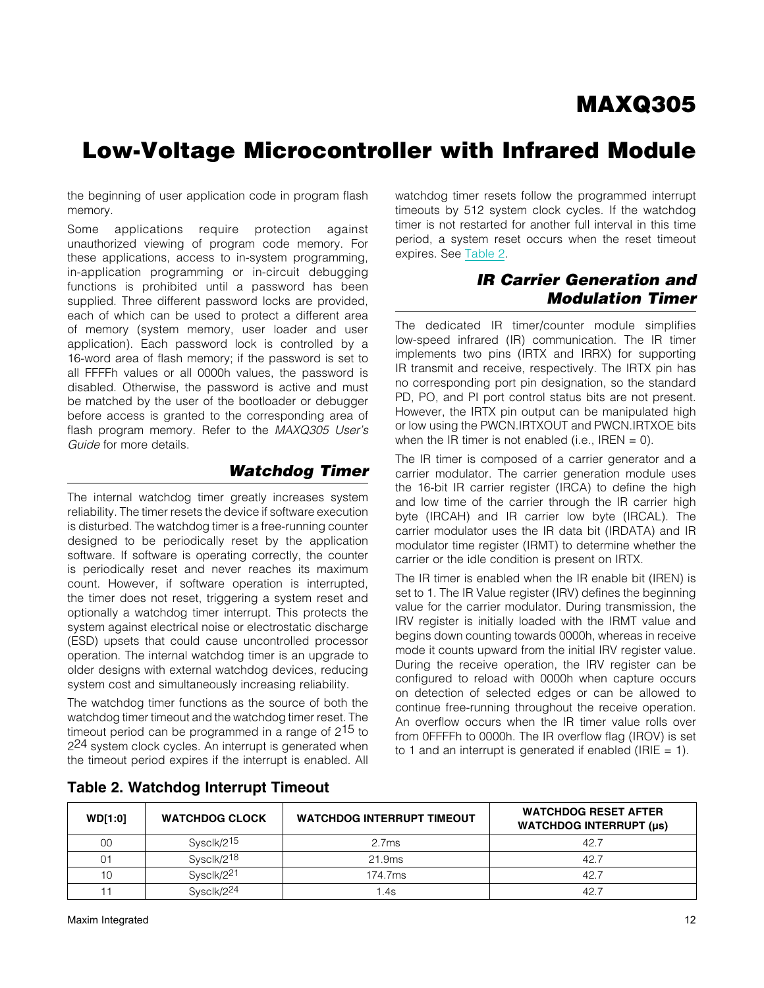the beginning of user application code in program flash memory.

Some applications require protection against unauthorized viewing of program code memory. For these applications, access to in-system programming, in-application programming or in-circuit debugging functions is prohibited until a password has been supplied. Three different password locks are provided, each of which can be used to protect a different area of memory (system memory, user loader and user application). Each password lock is controlled by a 16-word area of flash memory; if the password is set to all FFFFh values or all 0000h values, the password is disabled. Otherwise, the password is active and must be matched by the user of the bootloader or debugger before access is granted to the corresponding area of flash program memory. Refer to the *MAXQ305 User's Guide* for more details.

#### *Watchdog Timer*

The internal watchdog timer greatly increases system reliability. The timer resets the device if software execution is disturbed. The watchdog timer is a free-running counter designed to be periodically reset by the application software. If software is operating correctly, the counter is periodically reset and never reaches its maximum count. However, if software operation is interrupted, the timer does not reset, triggering a system reset and optionally a watchdog timer interrupt. This protects the system against electrical noise or electrostatic discharge (ESD) upsets that could cause uncontrolled processor operation. The internal watchdog timer is an upgrade to older designs with external watchdog devices, reducing system cost and simultaneously increasing reliability.

The watchdog timer functions as the source of both the watchdog timer timeout and the watchdog timer reset. The timeout period can be programmed in a range of 215 to 2<sup>24</sup> system clock cycles. An interrupt is generated when the timeout period expires if the interrupt is enabled. All watchdog timer resets follow the programmed interrupt timeouts by 512 system clock cycles. If the watchdog timer is not restarted for another full interval in this time period, a system reset occurs when the reset timeout expires. See [Table 2.](#page-11-0)

### *IR Carrier Generation and Modulation Timer*

The dedicated IR timer/counter module simplifies low-speed infrared (IR) communication. The IR timer implements two pins (IRTX and IRRX) for supporting IR transmit and receive, respectively. The IRTX pin has no corresponding port pin designation, so the standard PD, PO, and PI port control status bits are not present. However, the IRTX pin output can be manipulated high or low using the PWCN.IRTXOUT and PWCN.IRTXOE bits when the IR timer is not enabled (i.e., IREN  $= 0$ ).

The IR timer is composed of a carrier generator and a carrier modulator. The carrier generation module uses the 16-bit IR carrier register (IRCA) to define the high and low time of the carrier through the IR carrier high byte (IRCAH) and IR carrier low byte (IRCAL). The carrier modulator uses the IR data bit (IRDATA) and IR modulator time register (IRMT) to determine whether the carrier or the idle condition is present on IRTX.

The IR timer is enabled when the IR enable bit (IREN) is set to 1. The IR Value register (IRV) defines the beginning value for the carrier modulator. During transmission, the IRV register is initially loaded with the IRMT value and begins down counting towards 0000h, whereas in receive mode it counts upward from the initial IRV register value. During the receive operation, the IRV register can be configured to reload with 0000h when capture occurs on detection of selected edges or can be allowed to continue free-running throughout the receive operation. An overflow occurs when the IR timer value rolls over from 0FFFFh to 0000h. The IR overflow flag (IROV) is set to 1 and an interrupt is generated if enabled (IRIE  $= 1$ ).

| <b>WD[1:0]</b> | <b>WATCHDOG CLOCK</b>  | <b>WATCHDOG INTERRUPT TIMEOUT</b> | <b>WATCHDOG RESET AFTER</b><br><b>WATCHDOG INTERRUPT (µs)</b> |
|----------------|------------------------|-----------------------------------|---------------------------------------------------------------|
| 00             | Sysclk/215             | 2.7ms                             | 42.7                                                          |
| 01             | Sysclk/2 <sup>18</sup> | 21.9ms                            | 42.7                                                          |
| 10             | Sysclk/221             | 174.7ms                           | 42.7                                                          |
|                | Sysclk/224             | l.4s                              | 42.7                                                          |

#### <span id="page-11-0"></span>Table 2. Watchdog Interrupt Timeout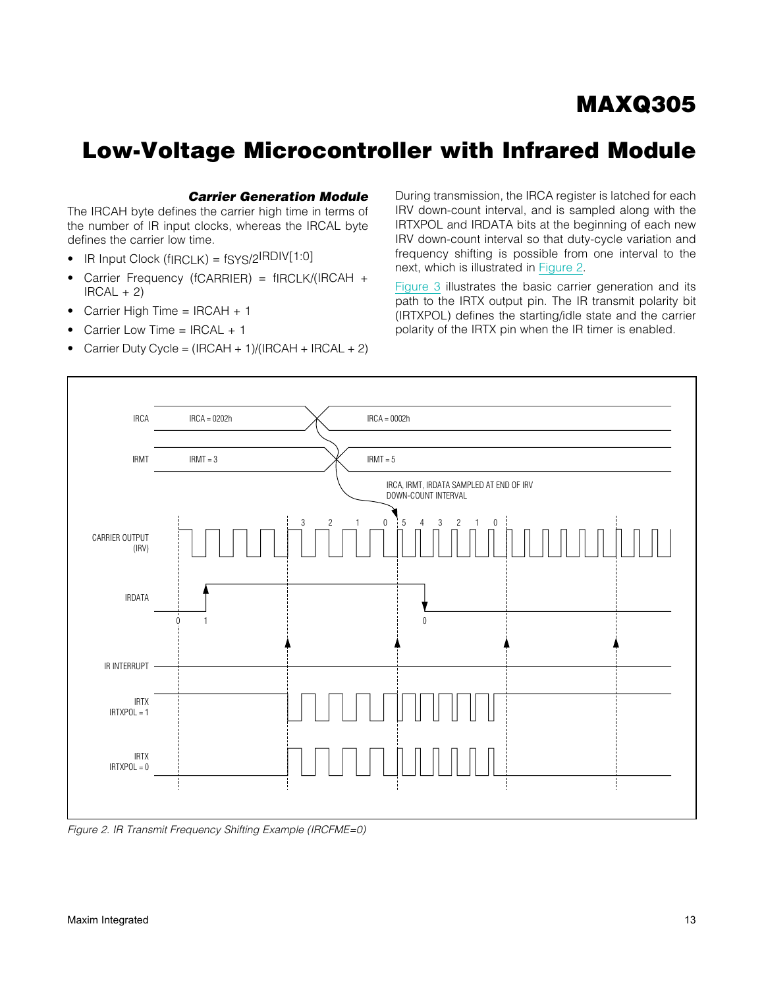# Low-Voltage Microcontroller with Infrared Module

#### *Carrier Generation Module*

The IRCAH byte defines the carrier high time in terms of the number of IR input clocks, whereas the IRCAL byte defines the carrier low time.

- $\bullet$  IR Input Clock (fIRCLK) = fSYS/2IRDIV[1:0]
- Carrier Frequency (fCARRIER) = fIRCLK/(IRCAH +  $IRCAL + 2)$
- Carrier High Time =  $IRCAH + 1$
- Carrier Low Time =  $IRCAL + 1$
- Carrier Duty Cycle =  $(IRCAH + 1)/(IRCAH + IRCAL + 2)$

During transmission, the IRCA register is latched for each IRV down-count interval, and is sampled along with the IRTXPOL and IRDATA bits at the beginning of each new IRV down-count interval so that duty-cycle variation and frequency shifting is possible from one interval to the next, which is illustrated in [Figure 2](#page-12-0).

[Figure 3](#page-13-0) illustrates the basic carrier generation and its path to the IRTX output pin. The IR transmit polarity bit (IRTXPOL) defines the starting/idle state and the carrier polarity of the IRTX pin when the IR timer is enabled.

<span id="page-12-0"></span>

*Figure 2. IR Transmit Frequency Shifting Example (IRCFME=0)*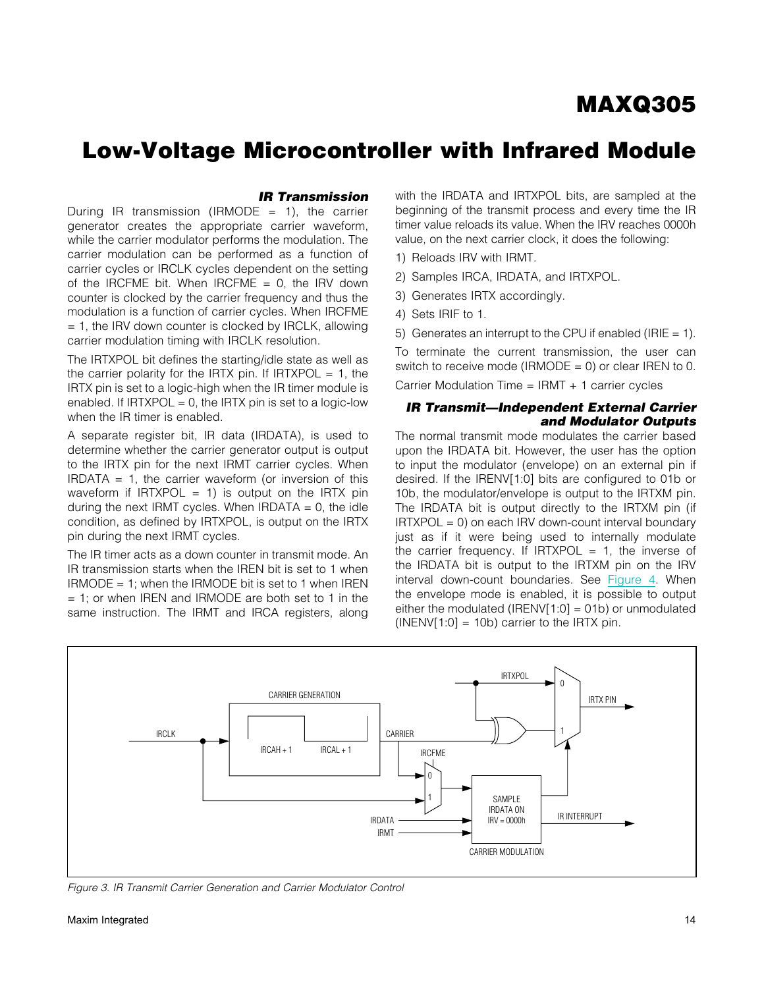## Low-Voltage Microcontroller with Infrared Module

#### *IR Transmission*

During IR transmission (IRMODE = 1), the carrier generator creates the appropriate carrier waveform, while the carrier modulator performs the modulation. The carrier modulation can be performed as a function of carrier cycles or IRCLK cycles dependent on the setting of the IRCFME bit. When IRCFME  $= 0$ , the IRV down counter is clocked by the carrier frequency and thus the modulation is a function of carrier cycles. When IRCFME  $= 1$ , the IRV down counter is clocked by IRCLK, allowing carrier modulation timing with IRCLK resolution.

The IRTXPOL bit defines the starting/idle state as well as the carrier polarity for the IRTX pin. If  $IRTXPOL = 1$ , the IRTX pin is set to a logic-high when the IR timer module is enabled. If  $IRTXPOL = 0$ , the  $IRTX$  pin is set to a logic-low when the IR timer is enabled.

A separate register bit, IR data (IRDATA), is used to determine whether the carrier generator output is output to the IRTX pin for the next IRMT carrier cycles. When IRDATA  $= 1$ , the carrier waveform (or inversion of this waveform if  $IRTXPOL = 1$ ) is output on the IRTX pin during the next IRMT cycles. When IRDATA  $= 0$ , the idle condition, as defined by IRTXPOL, is output on the IRTX pin during the next IRMT cycles.

The IR timer acts as a down counter in transmit mode. An IR transmission starts when the IREN bit is set to 1 when  $IMODE = 1$ ; when the IRMODE bit is set to 1 when IREN  $= 1$ ; or when IREN and IRMODE are both set to 1 in the same instruction. The IRMT and IRCA registers, along with the IRDATA and IRTXPOL bits, are sampled at the beginning of the transmit process and every time the IR timer value reloads its value. When the IRV reaches 0000h value, on the next carrier clock, it does the following:

- 1) Reloads IRV with IRMT.
- 2) Samples IRCA, IRDATA, and IRTXPOL.
- 3) Generates IRTX accordingly.
- 4) Sets IRIF to 1.
- 5) Generates an interrupt to the CPU if enabled (IRIE  $= 1$ ).

To terminate the current transmission, the user can switch to receive mode (IRMODE =  $0$ ) or clear IREN to 0.

Carrier Modulation Time = IRMT + 1 carrier cycles

#### *IR Transmit—Independent External Carrier and Modulator Outputs*

The normal transmit mode modulates the carrier based upon the IRDATA bit. However, the user has the option to input the modulator (envelope) on an external pin if desired. If the IRENV[1:0] bits are configured to 01b or 10b, the modulator/envelope is output to the IRTXM pin. The IRDATA bit is output directly to the IRTXM pin (if  $IRTXPOL = 0$ ) on each  $IRV$  down-count interval boundary just as if it were being used to internally modulate the carrier frequency. If  $IRTXPOL = 1$ , the inverse of the IRDATA bit is output to the IRTXM pin on the IRV interval down-count boundaries. See [Figure 4](#page-14-0). When the envelope mode is enabled, it is possible to output either the modulated (IRENV[1:0] = 01b) or unmodulated  $(INENV[1:0] = 10b)$  carrier to the IRTX pin.

<span id="page-13-0"></span>

*Figure 3. IR Transmit Carrier Generation and Carrier Modulator Control*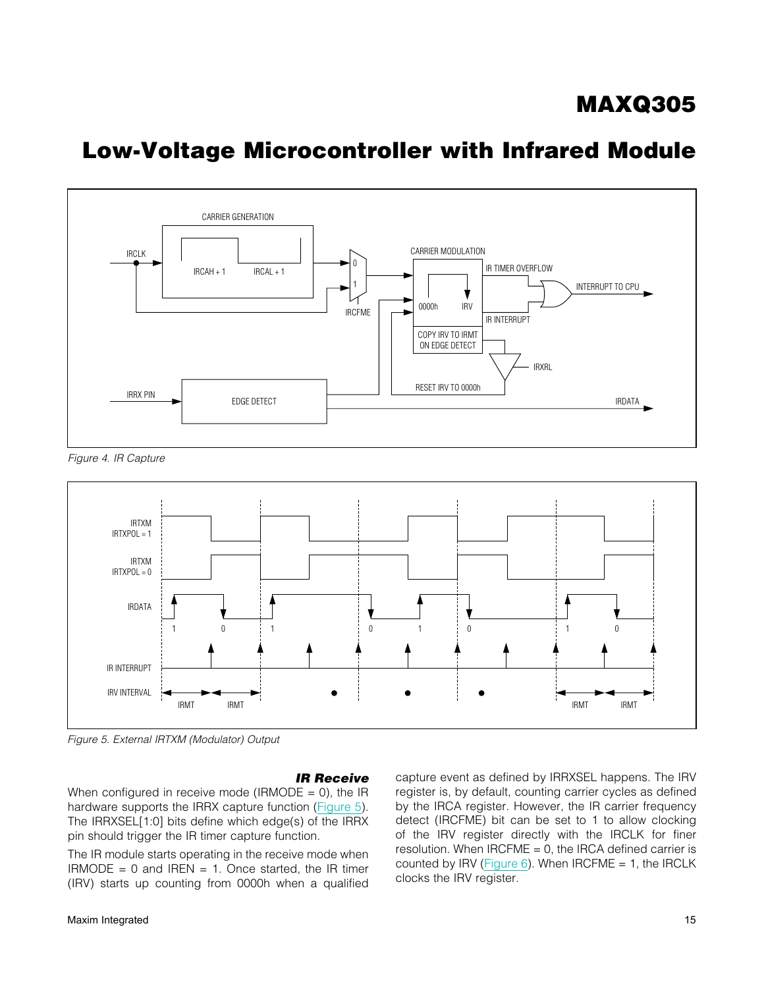# Low-Voltage Microcontroller with Infrared Module

<span id="page-14-0"></span>

*Figure 4. IR Capture*

<span id="page-14-1"></span>

*Figure 5. External IRTXM (Modulator) Output*

#### *IR Receive*

When configured in receive mode (IRMODE =  $0$ ), the IR hardware supports the IRRX capture function [\(Figure 5\)](#page-14-1). The IRRXSEL[1:0] bits define which edge(s) of the IRRX pin should trigger the IR timer capture function.

The IR module starts operating in the receive mode when  $IMODE = 0$  and  $IREN = 1$ . Once started, the IR timer (IRV) starts up counting from 0000h when a qualified

capture event as defined by IRRXSEL happens. The IRV register is, by default, counting carrier cycles as defined by the IRCA register. However, the IR carrier frequency detect (IRCFME) bit can be set to 1 to allow clocking of the IRV register directly with the IRCLK for finer resolution. When  $IRCFME = 0$ , the IRCA defined carrier is counted by IRV (Figure  $6$ ). When IRCFME = 1, the IRCLK clocks the IRV register.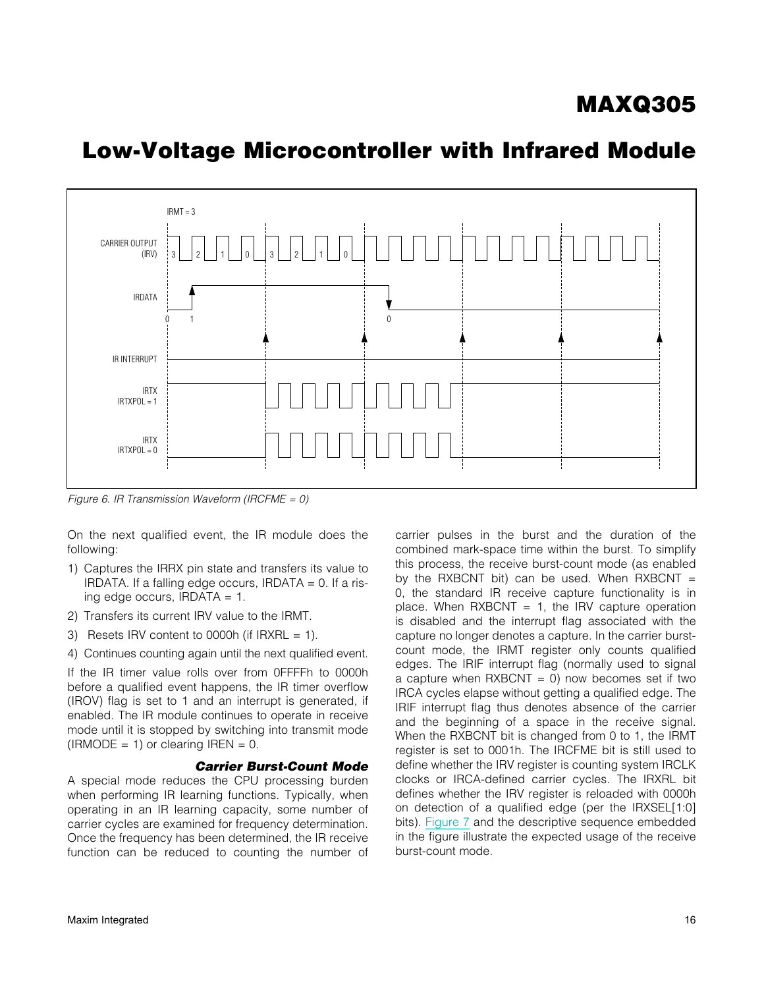# <span id="page-15-0"></span>CARRIER OUTPUT (IRV) IRDATA IR INTERRUPT IRTX  $IRTXPOL = 1$ IRTX  $IRTXPOL = 0$ 0 1 0  $IRMT = 3$ 3 | 2 | 1 | 0 | 3 | 2 | 1 | 0

## Low-Voltage Microcontroller with Infrared Module

*Figure 6. IR Transmission Waveform (IRCFME = 0)*

On the next qualified event, the IR module does the following:

- 1) Captures the IRRX pin state and transfers its value to IRDATA. If a falling edge occurs, IRDATA = 0. If a rising edge occurs, IRDATA = 1.
- 2) Transfers its current IRV value to the IRMT.
- 3) Resets IRV content to 0000h (if  $IRXRL = 1$ ).
- 4) Continues counting again until the next qualified event.

If the IR timer value rolls over from 0FFFFh to 0000h before a qualified event happens, the IR timer overflow (IROV) flag is set to 1 and an interrupt is generated, if enabled. The IR module continues to operate in receive mode until it is stopped by switching into transmit mode  $(IRMODE = 1)$  or clearing IREN = 0.

#### *Carrier Burst-Count Mode*

A special mode reduces the CPU processing burden when performing IR learning functions. Typically, when operating in an IR learning capacity, some number of carrier cycles are examined for frequency determination. Once the frequency has been determined, the IR receive function can be reduced to counting the number of carrier pulses in the burst and the duration of the combined mark-space time within the burst. To simplify this process, the receive burst-count mode (as enabled by the RXBCNT bit) can be used. When  $RXBCNT =$ 0, the standard IR receive capture functionality is in place. When  $RXBCNT = 1$ , the IRV capture operation is disabled and the interrupt flag associated with the capture no longer denotes a capture. In the carrier burstcount mode, the IRMT register only counts qualified edges. The IRIF interrupt flag (normally used to signal a capture when  $RXBCNT = 0$ ) now becomes set if two IRCA cycles elapse without getting a qualified edge. The IRIF interrupt flag thus denotes absence of the carrier and the beginning of a space in the receive signal. When the RXBCNT bit is changed from 0 to 1, the IRMT register is set to 0001h. The IRCFME bit is still used to define whether the IRV register is counting system IRCLK clocks or IRCA-defined carrier cycles. The IRXRL bit defines whether the IRV register is reloaded with 0000h on detection of a qualified edge (per the IRXSEL[1:0] bits). [Figure 7](#page-16-0) and the descriptive sequence embedded in the figure illustrate the expected usage of the receive burst-count mode.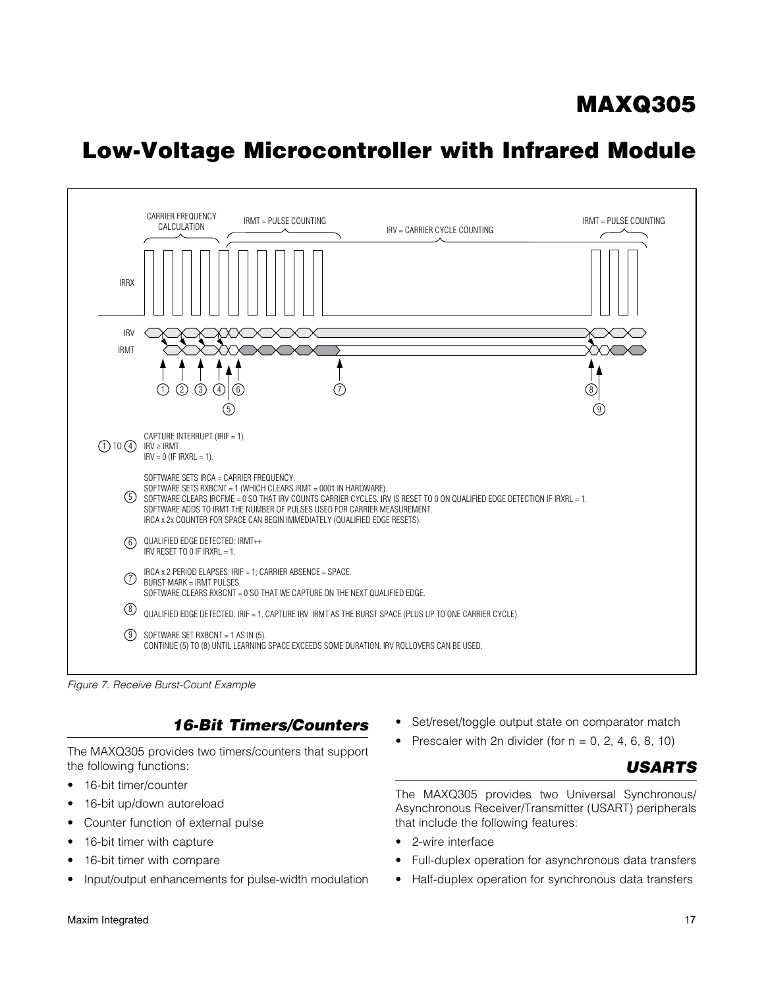# Low-Voltage Microcontroller with Infrared Module

<span id="page-16-0"></span>

*Figure 7. Receive Burst-Count Example*

### *16-Bit Timers/Counters*

The MAXQ305 provides two timers/counters that support the following functions:

- 16-bit timer/counter
- 16-bit up/down autoreload
- Counter function of external pulse
- 16-bit timer with capture
- 16-bit timer with compare
- Input/output enhancements for pulse-width modulation
- Set/reset/toggle output state on comparator match
- Prescaler with 2n divider (for  $n = 0, 2, 4, 6, 8, 10$ )



The MAXQ305 provides two Universal Synchronous/ Asynchronous Receiver/Transmitter (USART) peripherals that include the following features:

- 2-wire interface
- Full-duplex operation for asynchronous data transfers
- Half-duplex operation for synchronous data transfers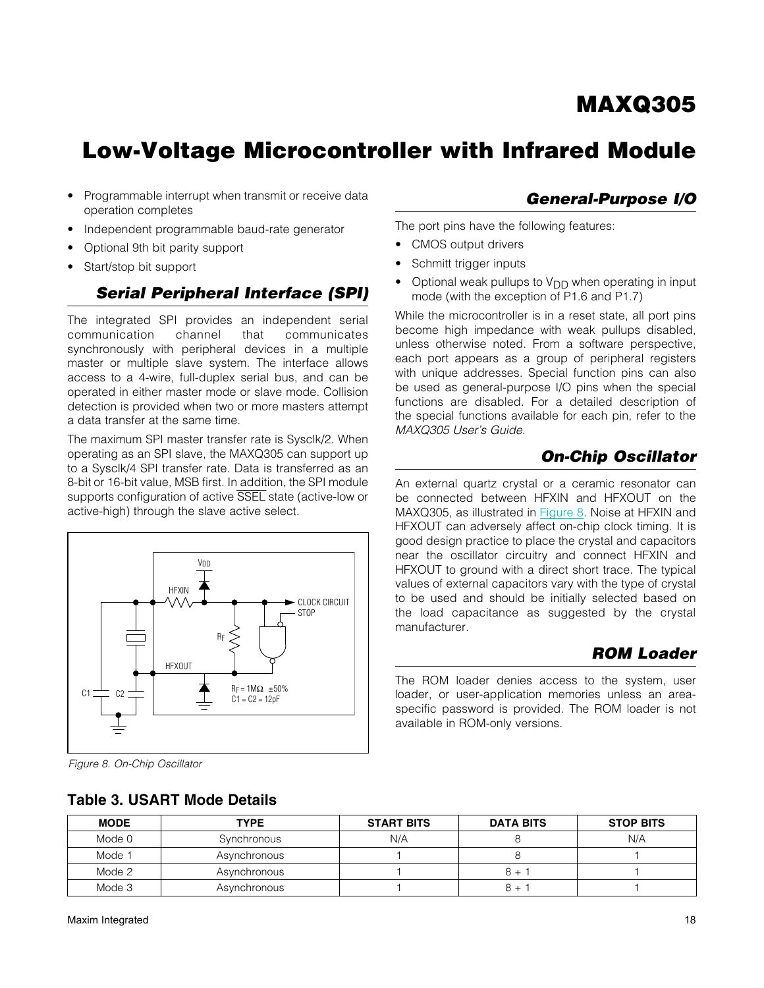# Low-Voltage Microcontroller with Infrared Module

- Programmable interrupt when transmit or receive data operation completes
- Independent programmable baud-rate generator
- Optional 9th bit parity support
- Start/stop bit support

### *Serial Peripheral Interface (SPI)*

The integrated SPI provides an independent serial communication channel that communicates synchronously with peripheral devices in a multiple master or multiple slave system. The interface allows access to a 4-wire, full-duplex serial bus, and can be operated in either master mode or slave mode. Collision detection is provided when two or more masters attempt a data transfer at the same time.

The maximum SPI master transfer rate is Sysclk/2. When operating as an SPI slave, the MAXQ305 can support up to a Sysclk/4 SPI transfer rate. Data is transferred as an 8-bit or 16-bit value, MSB first. In addition, the SPI module supports configuration of active SSEL state (active-low or active-high) through the slave active select.

<span id="page-17-0"></span>

*Figure 8. On-Chip Oscillator*

### Table 3. USART Mode Details

#### The port pins have the following features:

- CMOS output drivers
- Schmitt trigger inputs
- Optional weak pullups to  $V_{DD}$  when operating in input mode (with the exception of P1.6 and P1.7)

While the microcontroller is in a reset state, all port pins become high impedance with weak pullups disabled, unless otherwise noted. From a software perspective, each port appears as a group of peripheral registers with unique addresses. Special function pins can also be used as general-purpose I/O pins when the special functions are disabled. For a detailed description of the special functions available for each pin, refer to the *MAXQ305 User's Guide*.

### *On-Chip Oscillator*

An external quartz crystal or a ceramic resonator can be connected between HFXIN and HFXOUT on the MAXQ305, as illustrated in [Figure 8.](#page-17-0) Noise at HFXIN and HFXOUT can adversely affect on-chip clock timing. It is good design practice to place the crystal and capacitors near the oscillator circuitry and connect HFXIN and HFXOUT to ground with a direct short trace. The typical values of external capacitors vary with the type of crystal to be used and should be initially selected based on the load capacitance as suggested by the crystal manufacturer.

### *ROM Loader*

The ROM loader denies access to the system, user loader, or user-application memories unless an areaspecific password is provided. The ROM loader is not available in ROM-only versions.

| <b>MODE</b> | <b>TYPE</b>  | <b>START BITS</b> | <b>DATA BITS</b> | <b>STOP BITS</b> |
|-------------|--------------|-------------------|------------------|------------------|
| Mode 0      | Synchronous  | N/A               |                  | N/A              |
| Mode 1      | Asynchronous |                   |                  |                  |
| Mode 2      | Asynchronous |                   | $8 +$            |                  |
| Mode 3      | Asynchronous |                   | $8 +$            |                  |

### *General-Purpose I/O*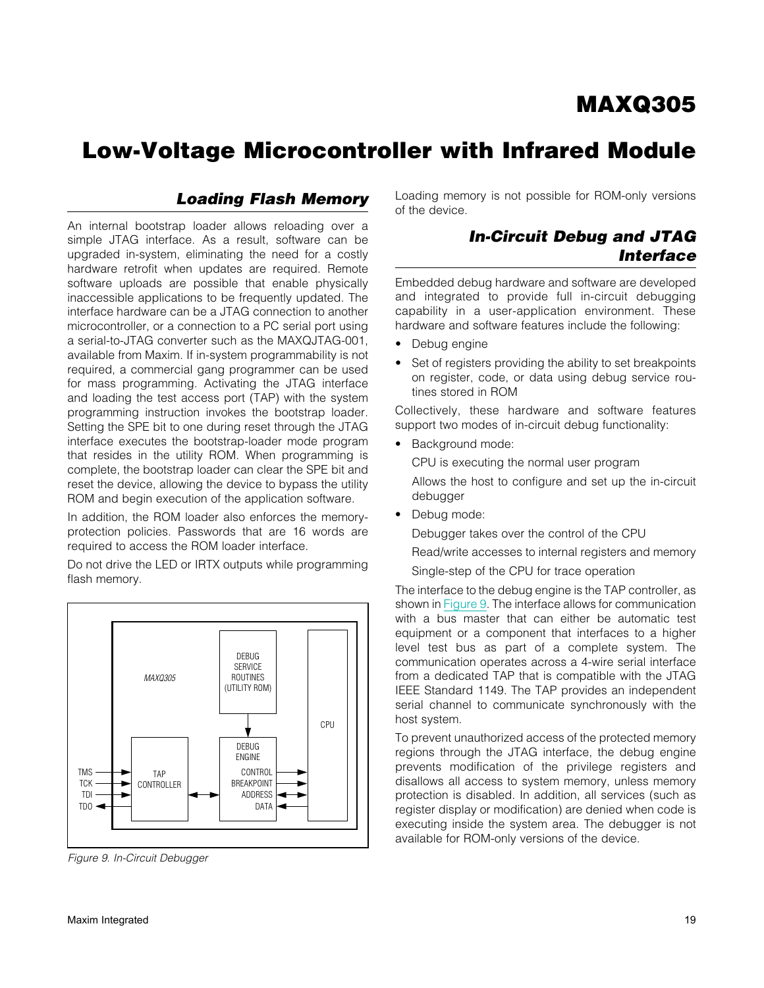### *Loading Flash Memory*

An internal bootstrap loader allows reloading over a simple JTAG interface. As a result, software can be upgraded in-system, eliminating the need for a costly hardware retrofit when updates are required. Remote software uploads are possible that enable physically inaccessible applications to be frequently updated. The interface hardware can be a JTAG connection to another microcontroller, or a connection to a PC serial port using a serial-to-JTAG converter such as the MAXQJTAG-001, available from Maxim. If in-system programmability is not required, a commercial gang programmer can be used for mass programming. Activating the JTAG interface and loading the test access port (TAP) with the system programming instruction invokes the bootstrap loader. Setting the SPE bit to one during reset through the JTAG interface executes the bootstrap-loader mode program that resides in the utility ROM. When programming is complete, the bootstrap loader can clear the SPE bit and reset the device, allowing the device to bypass the utility ROM and begin execution of the application software.

In addition, the ROM loader also enforces the memoryprotection policies. Passwords that are 16 words are required to access the ROM loader interface.

Do not drive the LED or IRTX outputs while programming flash memory.

<span id="page-18-0"></span>

*Figure 9. In-Circuit Debugger*

Loading memory is not possible for ROM-only versions of the device.

### *In-Circuit Debug and JTAG Interface*

Embedded debug hardware and software are developed and integrated to provide full in-circuit debugging capability in a user-application environment. These hardware and software features include the following:

- Debug engine
- Set of registers providing the ability to set breakpoints on register, code, or data using debug service routines stored in ROM

Collectively, these hardware and software features support two modes of in-circuit debug functionality:

• Background mode:

CPU is executing the normal user program

Allows the host to configure and set up the in-circuit debugger

• Debug mode:

Debugger takes over the control of the CPU

Read/write accesses to internal registers and memory

Single-step of the CPU for trace operation

The interface to the debug engine is the TAP controller, as shown in [Figure 9.](#page-18-0) The interface allows for communication with a bus master that can either be automatic test equipment or a component that interfaces to a higher level test bus as part of a complete system. The communication operates across a 4-wire serial interface from a dedicated TAP that is compatible with the JTAG IEEE Standard 1149. The TAP provides an independent serial channel to communicate synchronously with the host system.

To prevent unauthorized access of the protected memory regions through the JTAG interface, the debug engine prevents modification of the privilege registers and disallows all access to system memory, unless memory protection is disabled. In addition, all services (such as register display or modification) are denied when code is executing inside the system area. The debugger is not available for ROM-only versions of the device.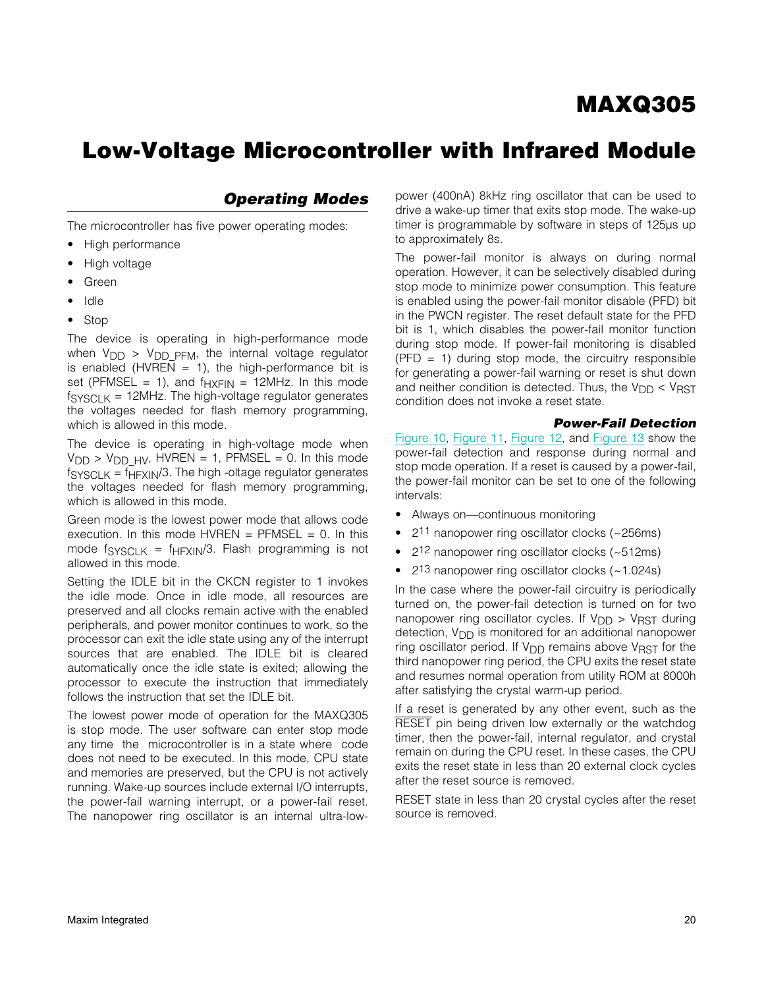## Low-Voltage Microcontroller with Infrared Module

### *Operating Modes*

The microcontroller has five power operating modes:

- High performance
- High voltage
- **Green**
- **Idle**
- Stop

The device is operating in high-performance mode when  $V_{\text{DD}} > V_{\text{DD}}$  p<sub>FM</sub>, the internal voltage regulator is enabled (HVREN = 1), the high-performance bit is set (PFMSEL = 1), and  $f_{HXFIN}$  = 12MHz. In this mode  $f<sub>SYSCLK</sub> = 12MHz$ . The high-voltage regulator generates the voltages needed for flash memory programming, which is allowed in this mode.

The device is operating in high-voltage mode when  $V<sub>DD</sub> > V<sub>DD HV</sub>$ , HVREN = 1, PFMSEL = 0. In this mode  $f<sub>SYSCLK</sub> = f<sub>HFXIN</sub>/3$ . The high -oltage regulator generates the voltages needed for flash memory programming, which is allowed in this mode.

Green mode is the lowest power mode that allows code execution. In this mode  $HVREN = PFMSEL = 0$ . In this mode  $f_{\text{SYSCLK}} = f_{\text{HFXIN}}/3$ . Flash programming is not allowed in this mode.

Setting the IDLE bit in the CKCN register to 1 invokes the idle mode. Once in idle mode, all resources are preserved and all clocks remain active with the enabled peripherals, and power monitor continues to work, so the processor can exit the idle state using any of the interrupt sources that are enabled. The IDLE bit is cleared automatically once the idle state is exited; allowing the processor to execute the instruction that immediately follows the instruction that set the IDLE bit.

The lowest power mode of operation for the MAXQ305 is stop mode. The user software can enter stop mode any time the microcontroller is in a state where code does not need to be executed. In this mode, CPU state and memories are preserved, but the CPU is not actively running. Wake-up sources include external I/O interrupts, the power-fail warning interrupt, or a power-fail reset. The nanopower ring oscillator is an internal ultra-low-

power (400nA) 8kHz ring oscillator that can be used to drive a wake-up timer that exits stop mode. The wake-up timer is programmable by software in steps of 125µs up to approximately 8s.

The power-fail monitor is always on during normal operation. However, it can be selectively disabled during stop mode to minimize power consumption. This feature is enabled using the power-fail monitor disable (PFD) bit in the PWCN register. The reset default state for the PFD bit is 1, which disables the power-fail monitor function during stop mode. If power-fail monitoring is disabled  $(PPD = 1)$  during stop mode, the circuitry responsible for generating a power-fail warning or reset is shut down and neither condition is detected. Thus, the  $V_{DD} < V_{RST}$ condition does not invoke a reset state.

#### *Power-Fail Detection*

[Figure 10](#page-20-0), [Figure 11,](#page-22-0) [Figure 12](#page-24-0), and [Figure 13](#page-25-0) show the power-fail detection and response during normal and stop mode operation. If a reset is caused by a power-fail, the power-fail monitor can be set to one of the following intervals:

- Always on—continuous monitoring
- $2<sup>11</sup>$  nanopower ring oscillator clocks (~256ms)
- $2<sup>12</sup>$  nanopower ring oscillator clocks (~512ms)
- $\bullet$  2<sup>13</sup> nanopower ring oscillator clocks (~1.024s)

In the case where the power-fail circuitry is periodically turned on, the power-fail detection is turned on for two nanopower ring oscillator cycles. If  $V_{\text{DD}} > V_{\text{RST}}$  during detection,  $V_{DD}$  is monitored for an additional nanopower ring oscillator period. If  $V_{\text{DD}}$  remains above  $V_{\text{RST}}$  for the third nanopower ring period, the CPU exits the reset state and resumes normal operation from utility ROM at 8000h after satisfying the crystal warm-up period.

If a reset is generated by any other event, such as the RESET pin being driven low externally or the watchdog timer, then the power-fail, internal regulator, and crystal remain on during the CPU reset. In these cases, the CPU exits the reset state in less than 20 external clock cycles after the reset source is removed.

RESET state in less than 20 crystal cycles after the reset source is removed.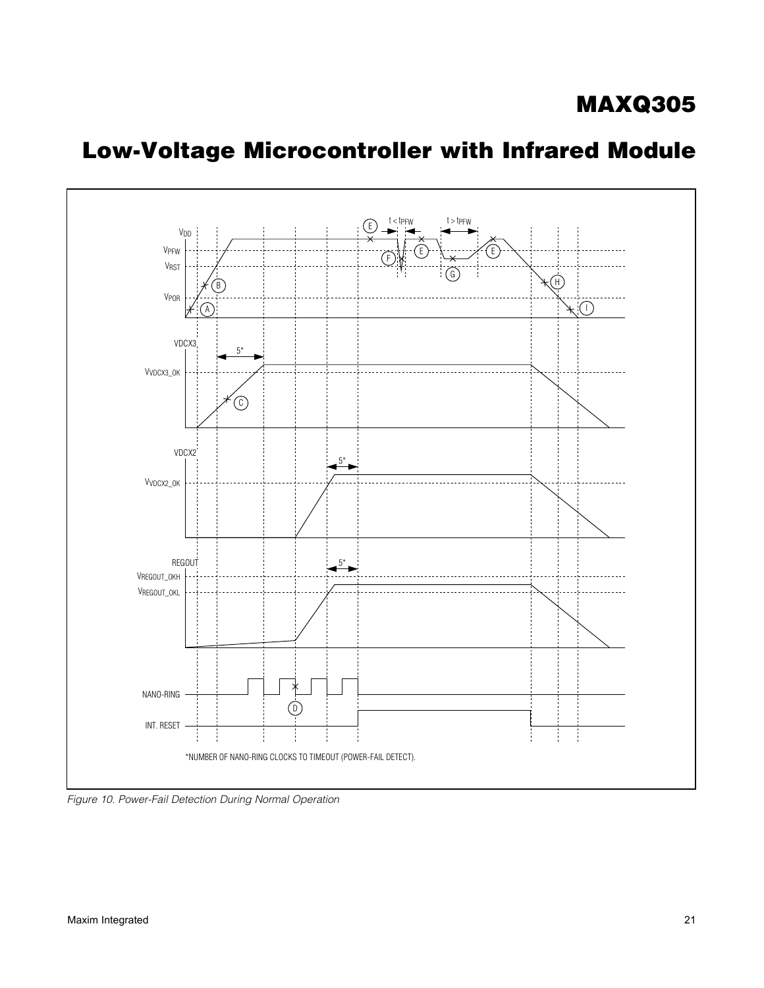<span id="page-20-0"></span>

*Figure 10. Power-Fail Detection During Normal Operation*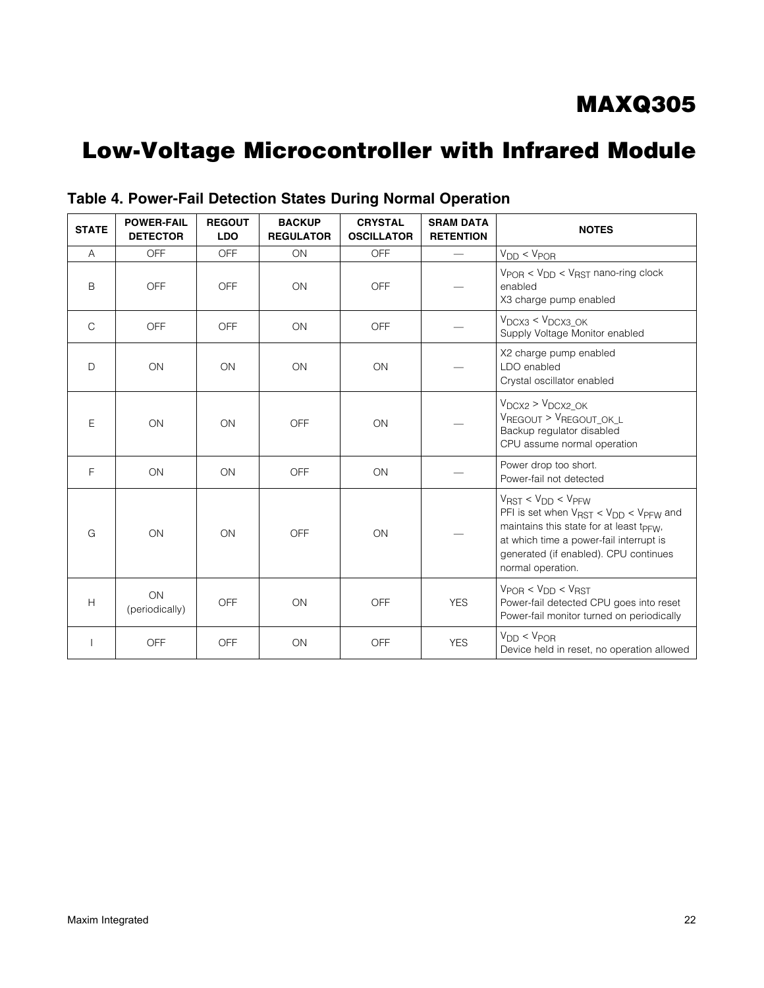| <b>STATE</b>   | <b>POWER-FAIL</b><br><b>DETECTOR</b> | <b>REGOUT</b><br><b>LDO</b> | <b>BACKUP</b><br><b>REGULATOR</b> | <b>CRYSTAL</b><br><b>OSCILLATOR</b> | <b>SRAM DATA</b><br><b>RETENTION</b> | <b>NOTES</b>                                                                                                                                                                                                                                              |
|----------------|--------------------------------------|-----------------------------|-----------------------------------|-------------------------------------|--------------------------------------|-----------------------------------------------------------------------------------------------------------------------------------------------------------------------------------------------------------------------------------------------------------|
| $\overline{A}$ | <b>OFF</b>                           | OFF                         | <b>ON</b>                         | <b>OFF</b>                          |                                      | $V_{DD} < V_{POR}$                                                                                                                                                                                                                                        |
| B              | OFF                                  | <b>OFF</b>                  | ON                                | <b>OFF</b>                          |                                      | $V_{POR}$ < $V_{DD}$ < $V_{RST}$ nano-ring clock<br>enabled<br>X3 charge pump enabled                                                                                                                                                                     |
| $\mathsf{C}$   | <b>OFF</b>                           | <b>OFF</b>                  | ON                                | <b>OFF</b>                          |                                      | $V_{DCX3}$ < $V_{DCX3}$ OK<br>Supply Voltage Monitor enabled                                                                                                                                                                                              |
| $\Box$         | ON                                   | ON                          | ON                                | ON                                  |                                      | X2 charge pump enabled<br>LDO enabled<br>Crystal oscillator enabled                                                                                                                                                                                       |
| E              | ON                                   | ON                          | OFF                               | ON                                  |                                      | $V_{DCX2}$ > $V_{DCX2\_OK}$<br>VREGOUT > VREGOUT_OK_L<br>Backup regulator disabled<br>CPU assume normal operation                                                                                                                                         |
| F              | ON                                   | ON                          | OFF                               | ON                                  |                                      | Power drop too short.<br>Power-fail not detected                                                                                                                                                                                                          |
| G              | ON                                   | ON                          | <b>OFF</b>                        | ON                                  |                                      | $V_{RST}$ < $V_{DD}$ < $V_{PFW}$<br>PFI is set when $V_{RST}$ < $V_{DD}$ < $V_{PFW}$ and<br>maintains this state for at least t <sub>PFW</sub> ,<br>at which time a power-fail interrupt is<br>generated (if enabled). CPU continues<br>normal operation. |
| H              | ON<br>(periodically)                 | OFF                         | ON                                | <b>OFF</b>                          | <b>YES</b>                           | $V_{POB}$ < $V_{DD}$ < $V_{RST}$<br>Power-fail detected CPU goes into reset<br>Power-fail monitor turned on periodically                                                                                                                                  |
|                | <b>OFF</b>                           | OFF                         | ON                                | <b>OFF</b>                          | <b>YES</b>                           | $V_{DD} < V_{POR}$<br>Device held in reset, no operation allowed                                                                                                                                                                                          |

Table 4. Power-Fail Detection States During Normal Operation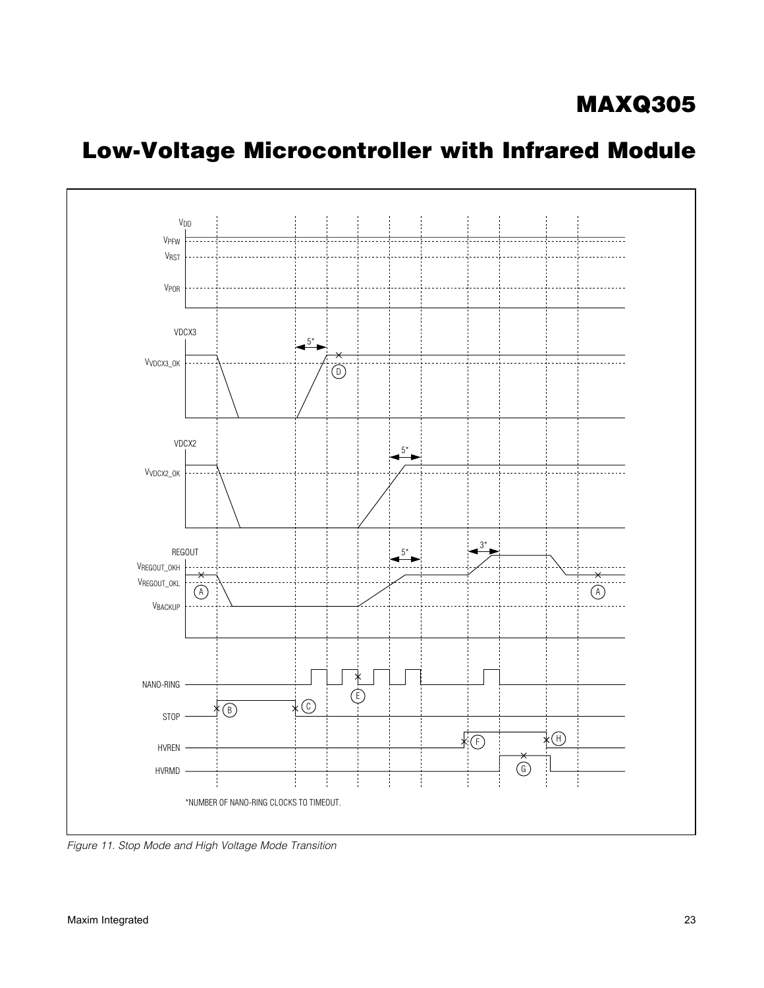<span id="page-22-0"></span>

*Figure 11. Stop Mode and High Voltage Mode Transition*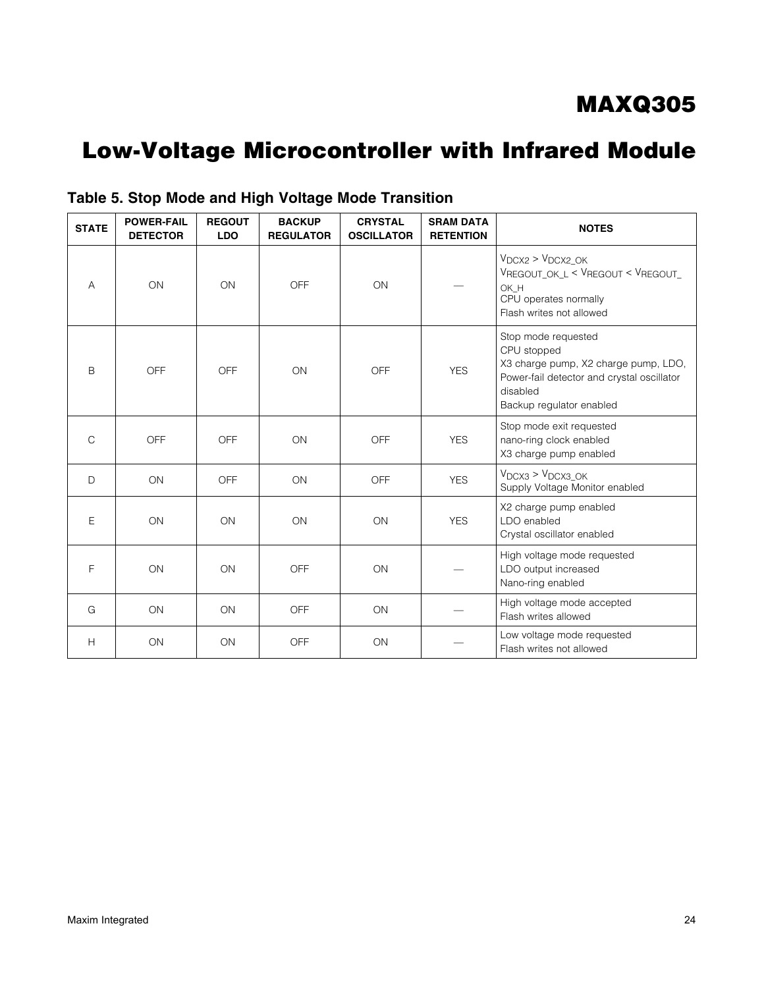# Low-Voltage Microcontroller with Infrared Module

| <b>STATE</b> | <b>POWER-FAIL</b><br><b>DETECTOR</b> | <b>REGOUT</b><br><b>LDO</b> | <b>BACKUP</b><br><b>REGULATOR</b> | <b>CRYSTAL</b><br><b>OSCILLATOR</b> | <b>SRAM DATA</b><br><b>RETENTION</b> | <b>NOTES</b>                                                                                                                                                     |
|--------------|--------------------------------------|-----------------------------|-----------------------------------|-------------------------------------|--------------------------------------|------------------------------------------------------------------------------------------------------------------------------------------------------------------|
| A            | ON                                   | ON                          | OFF                               | ON                                  |                                      | $V_{DCX2} > V_{DCX2_OK}$<br>VREGOUT OK L < VREGOUT < VREGOUT<br>OK H<br>CPU operates normally<br>Flash writes not allowed                                        |
| B            | OFF                                  | OFF                         | ON                                | <b>OFF</b>                          | <b>YES</b>                           | Stop mode requested<br>CPU stopped<br>X3 charge pump, X2 charge pump, LDO,<br>Power-fail detector and crystal oscillator<br>disabled<br>Backup regulator enabled |
| $\mathsf{C}$ | <b>OFF</b>                           | <b>OFF</b>                  | ON                                | <b>OFF</b>                          | <b>YES</b>                           | Stop mode exit requested<br>nano-ring clock enabled<br>X3 charge pump enabled                                                                                    |
| $\mathsf{D}$ | ON                                   | OFF                         | ON                                | <b>OFF</b>                          | <b>YES</b>                           | $V_{DCX3}$ > $V_{DCX3}$ OK<br>Supply Voltage Monitor enabled                                                                                                     |
| E            | ON                                   | ON                          | ON                                | ON                                  | <b>YES</b>                           | X2 charge pump enabled<br>LDO enabled<br>Crystal oscillator enabled                                                                                              |
| F            | ON                                   | ON                          | OFF                               | ON                                  |                                      | High voltage mode requested<br>LDO output increased<br>Nano-ring enabled                                                                                         |
| G            | ON                                   | ON                          | <b>OFF</b>                        | ON                                  |                                      | High voltage mode accepted<br>Flash writes allowed                                                                                                               |
| H            | ON                                   | ON                          | OFF                               | ON                                  |                                      | Low voltage mode requested<br>Flash writes not allowed                                                                                                           |

### Table 5. Stop Mode and High Voltage Mode Transition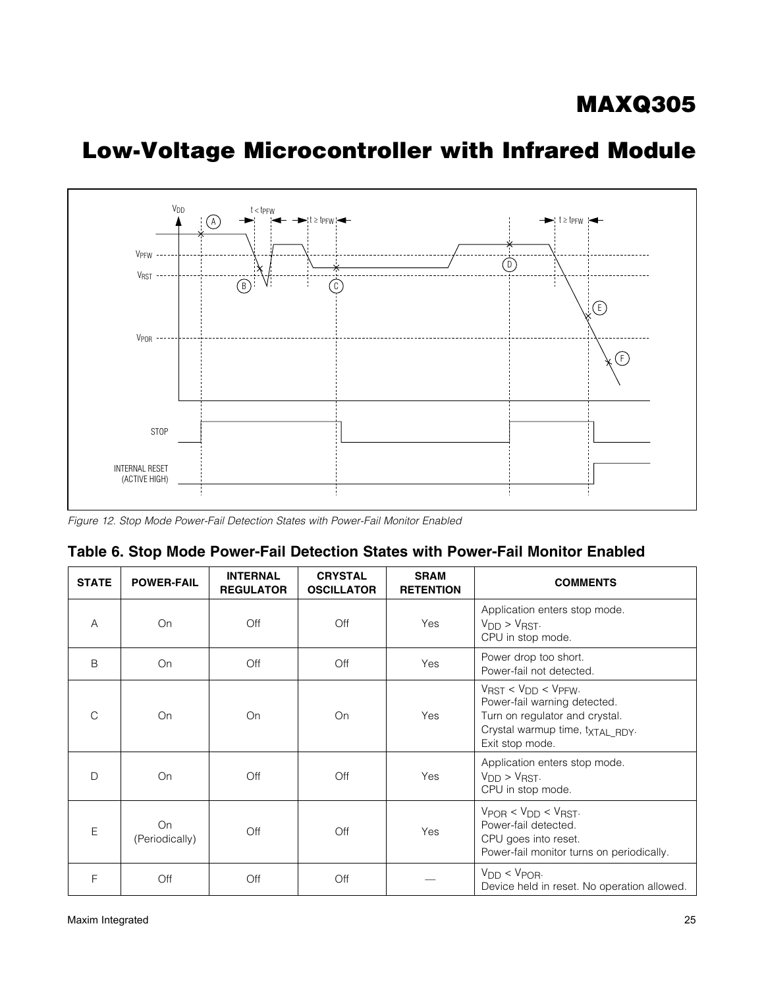<span id="page-24-0"></span>

*Figure 12. Stop Mode Power-Fail Detection States with Power-Fail Monitor Enabled*

| Table 6. Stop Mode Power-Fail Detection States with Power-Fail Monitor Enabled |  |
|--------------------------------------------------------------------------------|--|
|--------------------------------------------------------------------------------|--|

| <b>STATE</b> | <b>POWER-FAIL</b>    | <b>INTERNAL</b><br><b>REGULATOR</b> | <b>CRYSTAL</b><br><b>OSCILLATOR</b> | <b>SRAM</b><br><b>RETENTION</b> | <b>COMMENTS</b>                                                                                                                                            |
|--------------|----------------------|-------------------------------------|-------------------------------------|---------------------------------|------------------------------------------------------------------------------------------------------------------------------------------------------------|
| Α            | On                   | Off                                 | Off                                 | Yes                             | Application enters stop mode.<br>$V_{DD}$ > $V_{RST}$ .<br>CPU in stop mode.                                                                               |
| B            | On                   | Off                                 | Off                                 | Yes                             | Power drop too short.<br>Power-fail not detected.                                                                                                          |
| C            | On                   | On                                  | On                                  | Yes                             | $V_{RST}$ < $V_{DD}$ < $V_{PFW}$ .<br>Power-fail warning detected.<br>Turn on regulator and crystal.<br>Crystal warmup time, txTAL_RDY.<br>Exit stop mode. |
| D            | On                   | Off                                 | Off                                 | Yes                             | Application enters stop mode.<br>$V_{DD}$ > $V_{RST}$ .<br>CPU in stop mode.                                                                               |
| E            | On<br>(Periodically) | Off                                 | Off                                 | Yes                             | $V_{POB}$ < $V_{DD}$ < $V_{RST}$ .<br>Power-fail detected.<br>CPU goes into reset.<br>Power-fail monitor turns on periodically.                            |
| F            | Off                  | Off                                 | Off                                 |                                 | $V_{DD}$ < $V_{POR}$ .<br>Device held in reset. No operation allowed.                                                                                      |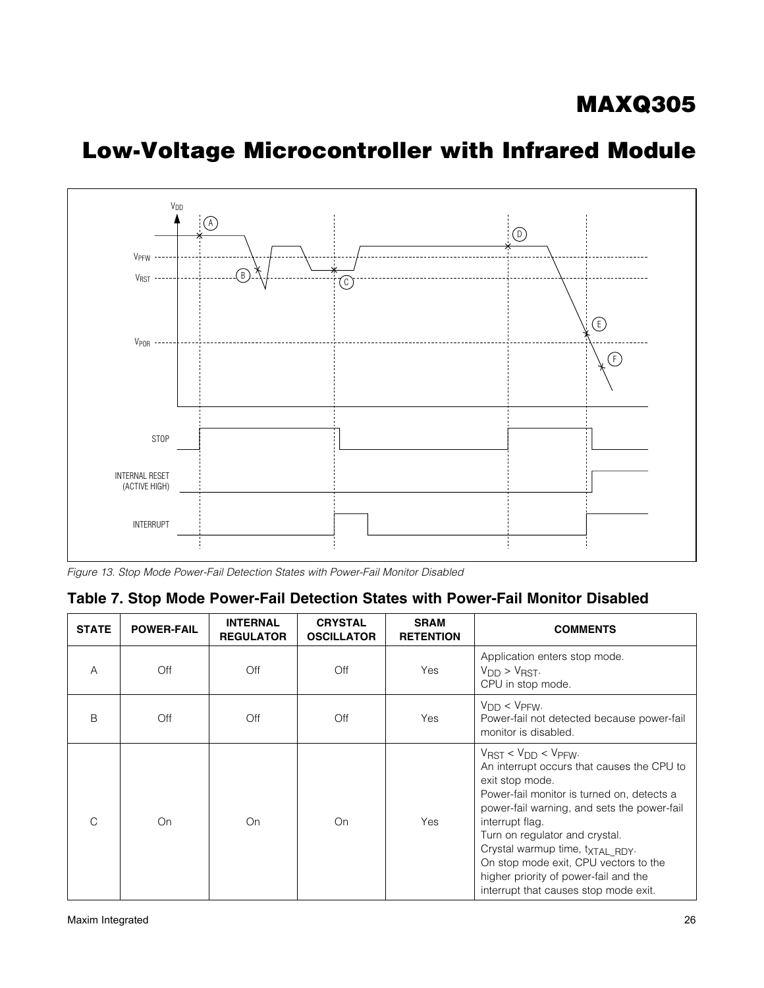<span id="page-25-0"></span>

# Low-Voltage Microcontroller with Infrared Module

### Table 7. Stop Mode Power-Fail Detection States with Power-Fail Monitor Disabled

| <b>STATE</b>  | <b>POWER-FAIL</b> | <b>INTERNAL</b><br><b>REGULATOR</b> | <b>CRYSTAL</b><br><b>OSCILLATOR</b> | <b>SRAM</b><br><b>RETENTION</b> | <b>COMMENTS</b>                                                                                                                                                                                                                                                                                                                                                                                                                    |
|---------------|-------------------|-------------------------------------|-------------------------------------|---------------------------------|------------------------------------------------------------------------------------------------------------------------------------------------------------------------------------------------------------------------------------------------------------------------------------------------------------------------------------------------------------------------------------------------------------------------------------|
| A             | Off               | Off                                 | Off                                 | Yes                             | Application enters stop mode.<br>$V_{DD}$ > $V_{RST}$ .<br>CPU in stop mode.                                                                                                                                                                                                                                                                                                                                                       |
| B             | Off               | Off                                 | Off                                 | Yes                             | $V_{DD} < V_{PFW}$ .<br>Power-fail not detected because power-fail<br>monitor is disabled.                                                                                                                                                                                                                                                                                                                                         |
| $\mathcal{C}$ | On                | On                                  | On                                  | Yes                             | $V_{\text{RST}} < V_{\text{DD}} < V_{\text{PFW}}$<br>An interrupt occurs that causes the CPU to<br>exit stop mode.<br>Power-fail monitor is turned on, detects a<br>power-fail warning, and sets the power-fail<br>interrupt flag.<br>Turn on regulator and crystal.<br>Crystal warmup time, txTAL RDY.<br>On stop mode exit, CPU vectors to the<br>higher priority of power-fail and the<br>interrupt that causes stop mode exit. |

*Figure 13. Stop Mode Power-Fail Detection States with Power-Fail Monitor Disabled*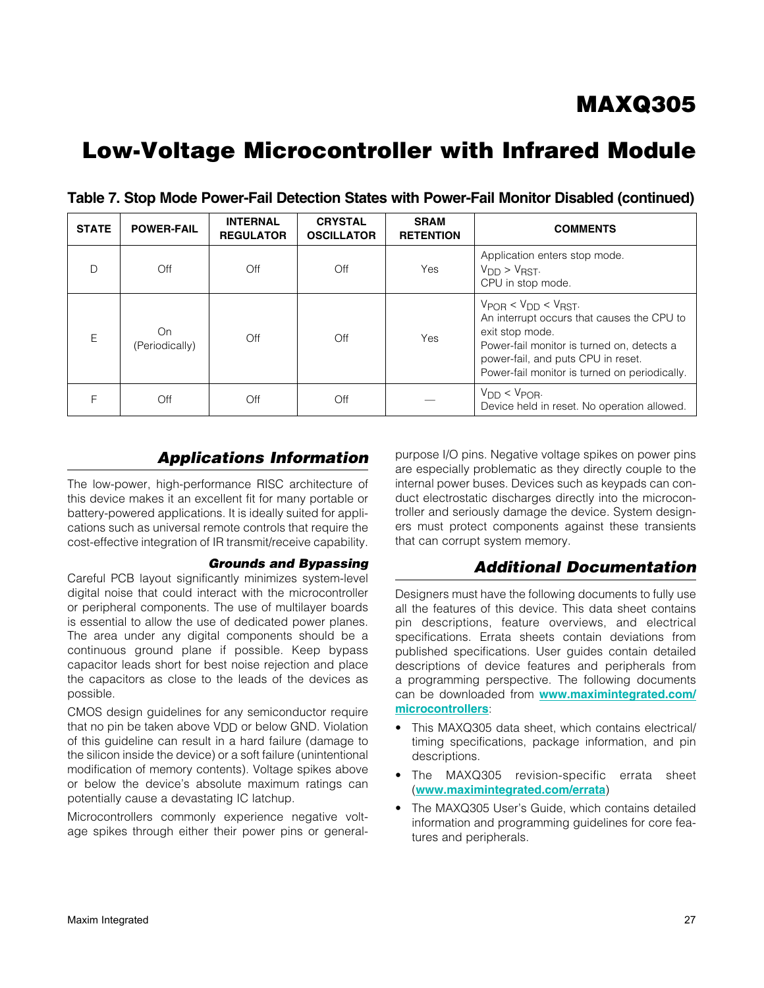| <b>STATE</b> | <b>POWER-FAIL</b>    | <b>INTERNAL</b><br><b>REGULATOR</b> | <b>CRYSTAL</b><br><b>OSCILLATOR</b> | <b>SRAM</b><br><b>RETENTION</b> | <b>COMMENTS</b>                                                                                                                                                                                                                          |
|--------------|----------------------|-------------------------------------|-------------------------------------|---------------------------------|------------------------------------------------------------------------------------------------------------------------------------------------------------------------------------------------------------------------------------------|
|              | Off                  | Off                                 | Off                                 | Yes                             | Application enters stop mode.<br>$V_{DD}$ > $V_{RST}$ .<br>CPU in stop mode.                                                                                                                                                             |
| E            | On<br>(Periodically) | Off                                 | Off                                 | Yes                             | $V_{POB}$ < $V_{DD}$ < $V_{RST}$ .<br>An interrupt occurs that causes the CPU to<br>exit stop mode.<br>Power-fail monitor is turned on, detects a<br>power-fail, and puts CPU in reset.<br>Power-fail monitor is turned on periodically. |
|              | Off                  | Off                                 | Off                                 |                                 | $V_{DD} < V_{POR}$<br>Device held in reset. No operation allowed.                                                                                                                                                                        |

Table 7. Stop Mode Power-Fail Detection States with Power-Fail Monitor Disabled (continued)

### *Applications Information*

The low-power, high-performance RISC architecture of this device makes it an excellent fit for many portable or battery-powered applications. It is ideally suited for applications such as universal remote controls that require the cost-effective integration of IR transmit/receive capability.

#### *Grounds and Bypassing*

Careful PCB layout significantly minimizes system-level digital noise that could interact with the microcontroller or peripheral components. The use of multilayer boards is essential to allow the use of dedicated power planes. The area under any digital components should be a continuous ground plane if possible. Keep bypass capacitor leads short for best noise rejection and place the capacitors as close to the leads of the devices as possible.

CMOS design guidelines for any semiconductor require that no pin be taken above VDD or below GND. Violation of this guideline can result in a hard failure (damage to the silicon inside the device) or a soft failure (unintentional modification of memory contents). Voltage spikes above or below the device's absolute maximum ratings can potentially cause a devastating IC latchup.

Microcontrollers commonly experience negative voltage spikes through either their power pins or general-

purpose I/O pins. Negative voltage spikes on power pins are especially problematic as they directly couple to the internal power buses. Devices such as keypads can conduct electrostatic discharges directly into the microcontroller and seriously damage the device. System designers must protect components against these transients that can corrupt system memory.

### *Additional Documentation*

Designers must have the following documents to fully use all the features of this device. This data sheet contains pin descriptions, feature overviews, and electrical specifications. Errata sheets contain deviations from published specifications. User guides contain detailed descriptions of device features and peripherals from a programming perspective. The following documents can be downloaded from [www.maximintegrated.com/](www.maximintegrated.com/microcontrollers) [microcontrollers](www.maximintegrated.com/microcontrollers):

- This MAXQ305 data sheet, which contains electrical/ timing specifications, package information, and pin descriptions.
- The MAXQ305 revision-specific errata sheet (www.maximintegrated.com/errata)
- The MAXQ305 User's Guide, which contains detailed information and programming guidelines for core features and peripherals.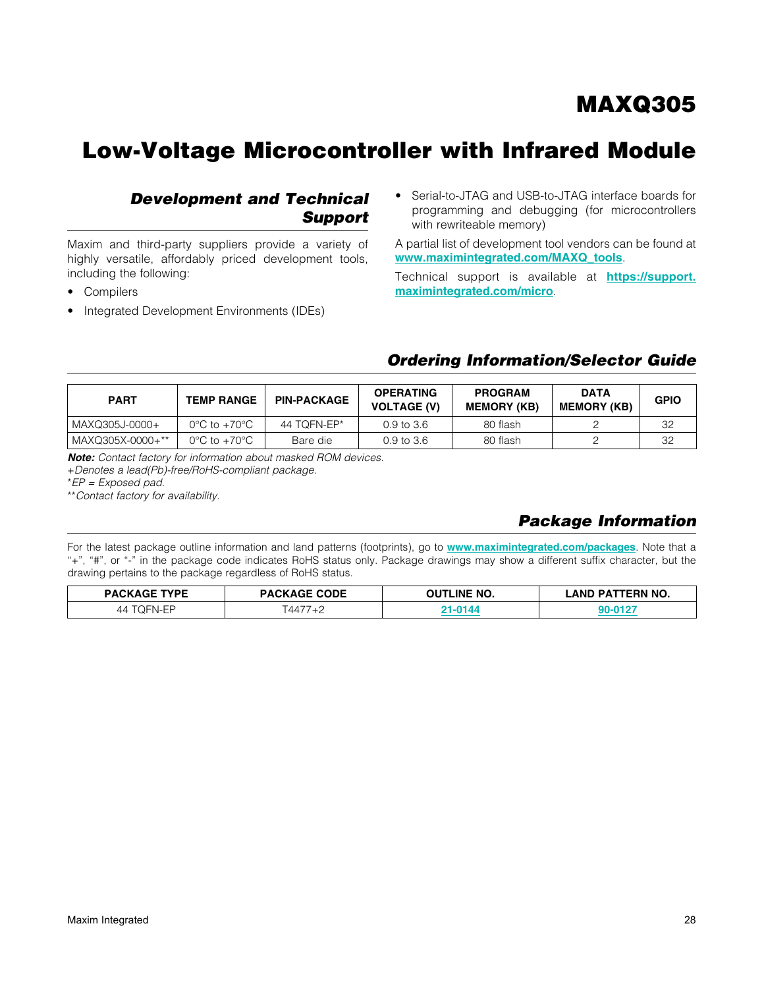# Low-Voltage Microcontroller with Infrared Module

### *Development and Technical Support*

Maxim and third-party suppliers provide a variety of highly versatile, affordably priced development tools, including the following:

- • Compilers
- Integrated Development Environments (IDEs)

Serial-to-JTAG and USB-to-JTAG interface boards for programming and debugging (for microcontrollers with rewriteable memory)

A partial list of development tool vendors can be found at [www.maximintegrated.com/MAXQ\\_tools](www.maximintegrated.com/MAXQ_tools).

Technical support is available at **[https://support.](https://support.maximintegrated.com/micro)** [maximintegrated.com/micro](https://support.maximintegrated.com/micro).

### *Ordering Information/Selector Guide*

| <b>PART</b>      | <b>TEMP RANGE</b>                | <b>PIN-PACKAGE</b> | <b>OPERATING</b><br><b>VOLTAGE (V)</b> | <b>PROGRAM</b><br><b>MEMORY (KB)</b> | <b>DATA</b><br><b>MEMORY (KB)</b> | <b>GPIO</b> |
|------------------|----------------------------------|--------------------|----------------------------------------|--------------------------------------|-----------------------------------|-------------|
| MAXQ305J-0000+   | $0^{\circ}$ C to $+70^{\circ}$ C | 44 TOFN-EP*        | 0.9 to 3.6                             | 80 flash                             |                                   | 32          |
| MAXQ305X-0000+** | $0^{\circ}$ C to $+70^{\circ}$ C | Bare die           | $0.9 \text{ to } 3.6$                  | 80 flash                             |                                   | 32          |

*Note: Contact factory for information about masked ROM devices.*

+*Denotes a lead(Pb)-free/RoHS-compliant package.*

\**EP = Exposed pad.*

\*\**Contact factory for availability.*

### <span id="page-27-0"></span>*Package Information*

For the latest package outline information and land patterns (footprints), go to <www.maximintegrated.com/packages>. Note that a "+", "#", or "-" in the package code indicates RoHS status only. Package drawings may show a different suffix character, but the drawing pertains to the package regardless of RoHS status.

| <b>PACKAGE TYPE</b> | <b>PACKAGE CODE</b> | <b>OUTLINE NO.</b> | ' AND PATTERN NO. |
|---------------------|---------------------|--------------------|-------------------|
| )FN_FP<br>44        | 4477                |                    |                   |